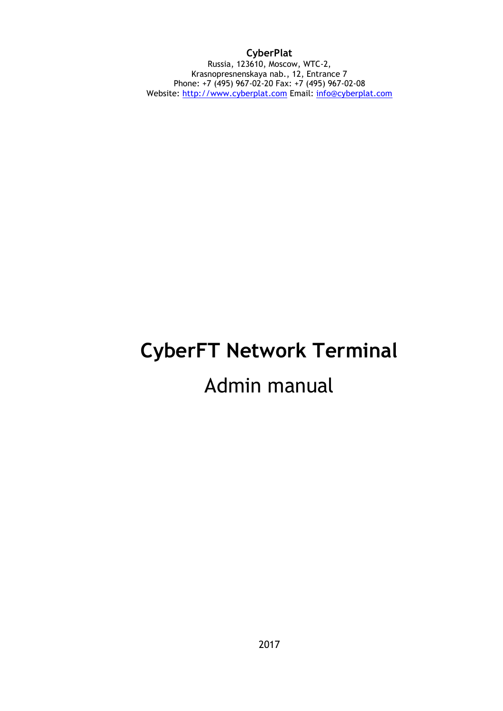### **CyberPlat**

Russia, 123610, Moscow, WTC-2, Krasnopresnenskaya nab., 12, Entrance 7 Phone: +7 (495) 967-02-20 Fax: +7 (495) 967-02-08 Website: [http://www.cyberplat.com](http://www.cyberplat.com/) Email: [info@cyberplat.com](mailto:info@cyberplat.com)

# **CyberFT Network Terminal** Admin manual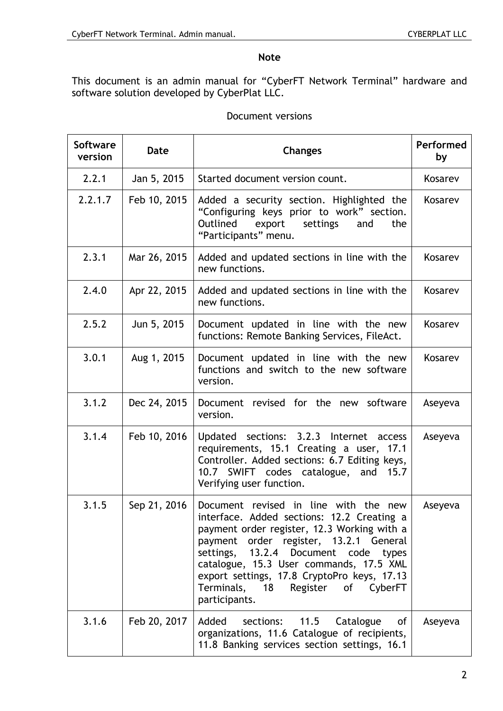### **Note**

This document is an admin manual for "CyberFT Network Terminal" hardware and software solution developed by CyberPlat LLC.

| Document versions |  |  |
|-------------------|--|--|
|-------------------|--|--|

| <b>Software</b><br>version | Date         | <b>Changes</b>                                                                                                                                                                                                                                                                                                                                                       | Performed<br>by |
|----------------------------|--------------|----------------------------------------------------------------------------------------------------------------------------------------------------------------------------------------------------------------------------------------------------------------------------------------------------------------------------------------------------------------------|-----------------|
| 2.2.1                      | Jan 5, 2015  | Started document version count.                                                                                                                                                                                                                                                                                                                                      | Kosarev         |
| 2.2.1.7                    | Feb 10, 2015 | Added a security section. Highlighted the<br>"Configuring keys prior to work" section.<br>Outlined<br>settings<br>export<br>and<br>the<br>"Participants" menu.                                                                                                                                                                                                       | Kosarev         |
| 2.3.1                      | Mar 26, 2015 | Added and updated sections in line with the<br>new functions.                                                                                                                                                                                                                                                                                                        | Kosarev         |
| 2.4.0                      | Apr 22, 2015 | Added and updated sections in line with the<br>new functions.                                                                                                                                                                                                                                                                                                        | Kosarev         |
| 2.5.2                      | Jun 5, 2015  | Document updated in line with the new<br>functions: Remote Banking Services, FileAct.                                                                                                                                                                                                                                                                                | Kosarev         |
| 3.0.1                      | Aug 1, 2015  | Document updated in line with the new<br>functions and switch to the new software<br>version.                                                                                                                                                                                                                                                                        | Kosarev         |
| 3.1.2                      | Dec 24, 2015 | Document revised for the new software<br>version.                                                                                                                                                                                                                                                                                                                    | Aseyeva         |
| 3.1.4                      | Feb 10, 2016 | Updated sections: 3.2.3 Internet<br>access<br>requirements, 15.1 Creating a user,<br>17.1<br>Controller. Added sections: 6.7 Editing keys,<br>10.7 SWIFT codes catalogue, and 15.7<br>Verifying user function.                                                                                                                                                       | Aseyeva         |
| 3.1.5                      | Sep 21, 2016 | Document revised in line with the new<br>interface. Added sections: 12.2 Creating a<br>payment order register, 12.3 Working with a<br>payment order register, 13.2.1 General<br>settings, 13.2.4 Document code types<br>catalogue, 15.3 User commands, 17.5 XML<br>export settings, 17.8 CryptoPro keys, 17.13<br>Terminals, 18 Register of CyberFT<br>participants. | Aseyeva         |
| 3.1.6                      | Feb 20, 2017 | Catalogue<br>of<br>Added<br>sections:<br>11.5<br>organizations, 11.6 Catalogue of recipients,<br>11.8 Banking services section settings, 16.1                                                                                                                                                                                                                        | Aseyeva         |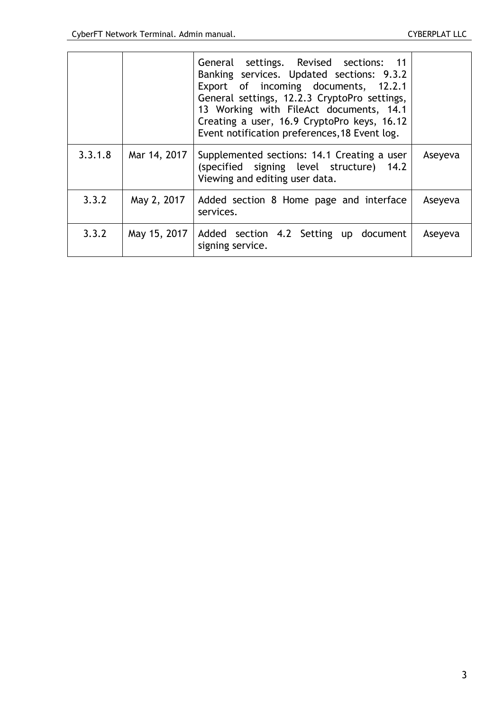|         |              | General settings. Revised sections: 11<br>Banking services. Updated sections: 9.3.2<br>Export of incoming documents, 12.2.1<br>General settings, 12.2.3 CryptoPro settings,<br>13 Working with FileAct documents, 14.1<br>Creating a user, 16.9 CryptoPro keys, 16.12<br>Event notification preferences, 18 Event log. |         |
|---------|--------------|------------------------------------------------------------------------------------------------------------------------------------------------------------------------------------------------------------------------------------------------------------------------------------------------------------------------|---------|
| 3.3.1.8 | Mar 14, 2017 | Supplemented sections: 14.1 Creating a user<br>(specified signing level structure) 14.2<br>Viewing and editing user data.                                                                                                                                                                                              | Aseyeva |
| 3.3.2   | May 2, 2017  | Added section 8 Home page and interface<br>services.                                                                                                                                                                                                                                                                   | Aseyeva |
| 3.3.2   | May 15, 2017 | Added section 4.2 Setting up document<br>signing service.                                                                                                                                                                                                                                                              | Aseyeva |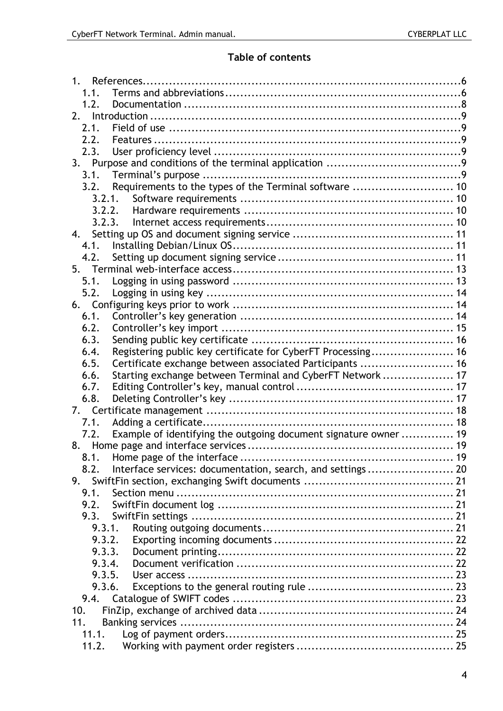# **Table of contents**

| 1 <sub>1</sub>                                                           |  |
|--------------------------------------------------------------------------|--|
| 1.1.                                                                     |  |
| 1.2.                                                                     |  |
|                                                                          |  |
| 2.1.                                                                     |  |
| 2.2.                                                                     |  |
| 2.3.                                                                     |  |
|                                                                          |  |
|                                                                          |  |
| Requirements to the types of the Terminal software  10<br>3.2.           |  |
|                                                                          |  |
| 3.2.2.                                                                   |  |
| 3.2.3.                                                                   |  |
| 4.                                                                       |  |
| 4.1.                                                                     |  |
| 4.2.                                                                     |  |
|                                                                          |  |
| 5.1.                                                                     |  |
| 5.2.                                                                     |  |
|                                                                          |  |
| 6.1.                                                                     |  |
| 6.2.                                                                     |  |
| 6.3.                                                                     |  |
| Registering public key certificate for CyberFT Processing 16<br>6.4.     |  |
| Certificate exchange between associated Participants  16<br>6.5.         |  |
| Starting exchange between Terminal and CyberFT Network  17<br>6.6.       |  |
| 6.7.                                                                     |  |
| 6.8.                                                                     |  |
|                                                                          |  |
| 7.1.                                                                     |  |
| Example of identifying the outgoing document signature owner  19<br>7.2. |  |
| 8.<br>8.1.                                                               |  |
|                                                                          |  |
| Interface services: documentation, search, and settings 20<br>8.2.       |  |
| 9.                                                                       |  |
| 9.1.                                                                     |  |
| 9.2.                                                                     |  |
| 9.3.<br>9.3.1.                                                           |  |
| 9.3.2.                                                                   |  |
| 9.3.3.                                                                   |  |
| 9.3.4.                                                                   |  |
| 9.3.5.                                                                   |  |
| 9.3.6.                                                                   |  |
| 9.4.                                                                     |  |
| 10.                                                                      |  |
| 11.                                                                      |  |
| 11.1.                                                                    |  |
| 11.2.                                                                    |  |
|                                                                          |  |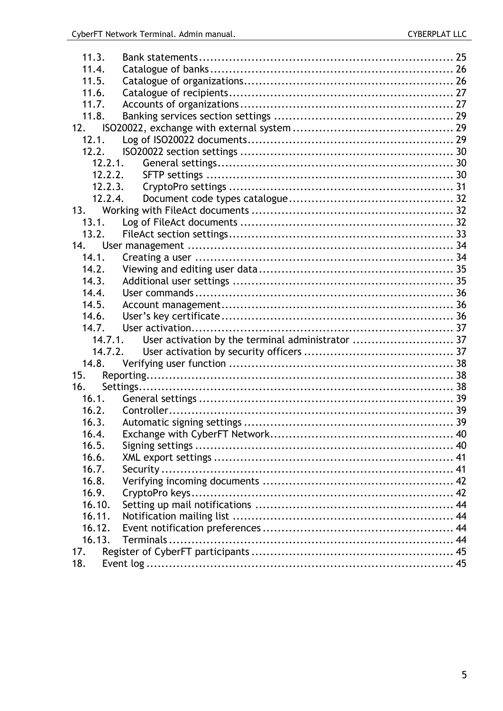| 11.3.   |                                                   |  |
|---------|---------------------------------------------------|--|
| 11.4.   |                                                   |  |
| 11.5.   |                                                   |  |
| 11.6.   |                                                   |  |
| 11.7.   |                                                   |  |
| 11.8.   |                                                   |  |
| 12.     |                                                   |  |
| 12.1.   |                                                   |  |
| 12.2.   |                                                   |  |
| 12.2.1. |                                                   |  |
| 12.2.2. |                                                   |  |
| 12.2.3. |                                                   |  |
| 12.2.4. |                                                   |  |
| 13.     |                                                   |  |
| 13.1.   |                                                   |  |
| 13.2.   |                                                   |  |
| 14.     |                                                   |  |
| 14.1.   |                                                   |  |
| 14.2.   |                                                   |  |
| 14.3.   |                                                   |  |
| 14.4.   |                                                   |  |
| 14.5.   |                                                   |  |
| 14.6.   |                                                   |  |
| 14.7.   |                                                   |  |
| 14.7.1. | User activation by the terminal administrator  37 |  |
| 14.7.2. |                                                   |  |
| 14.8.   |                                                   |  |
| 15.     |                                                   |  |
| 16.     |                                                   |  |
| 16.1.   |                                                   |  |
| 16.2.   |                                                   |  |
| 16.3.   |                                                   |  |
| 16.4.   |                                                   |  |
| 16.5.   |                                                   |  |
| 16.6.   |                                                   |  |
| 16.7.   |                                                   |  |
| 16.8.   |                                                   |  |
| 16.9.   |                                                   |  |
| 16.10.  |                                                   |  |
| 16.11.  |                                                   |  |
| 16.12.  |                                                   |  |
| 16.13.  |                                                   |  |
| 17.     |                                                   |  |
| 18.     |                                                   |  |
|         |                                                   |  |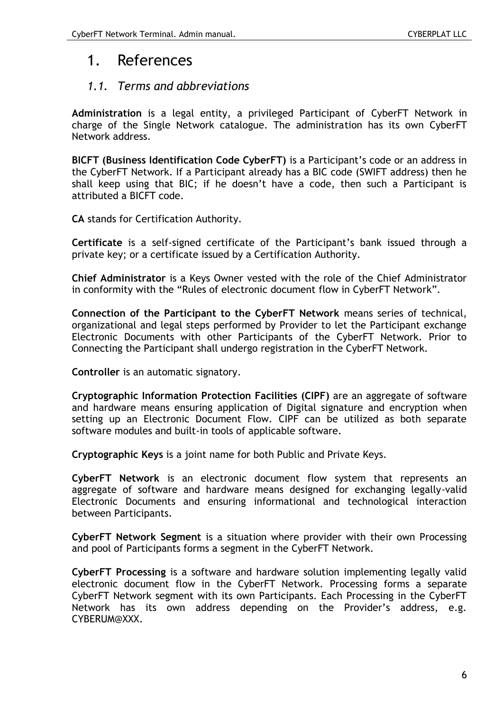# 1. References

# *1.1. Terms and abbreviations*

**Administration** is a legal entity, a privileged Participant of CyberFT Network in charge of the Single Network catalogue. The administration has its own CyberFT Network address.

**BICFT (Business Identification Code CyberFT)** is a Participant's code or an address in the CyberFT Network. If a Participant already has a BIC code (SWIFT address) then he shall keep using that BIC; if he doesn't have a code, then such a Participant is attributed a BICFT code.

**CA** stands for Certification Authority.

**Certificate** is a self-signed certificate of the Participant's bank issued through a private key; or a certificate issued by a Certification Authority.

**Chief Administrator** is a Keys Owner vested with the role of the Chief Administrator in conformity with the "Rules of electronic document flow in CyberFT Network".

**Connection of the Participant to the CyberFT Network** means series of technical, organizational and legal steps performed by Provider to let the Participant exchange Electronic Documents with other Participants of the CyberFT Network. Prior to Connecting the Participant shall undergo registration in the CyberFT Network.

**Controller** is an automatic signatory.

**Cryptographic Information Protection Facilities (CIPF)** are an aggregate of software and hardware means ensuring application of Digital signature and encryption when setting up an Electronic Document Flow. CIPF can be utilized as both separate software modules and built-in tools of applicable software.

**Cryptographic Keys** is a joint name for both Public and Private Keys.

**CyberFT Network** is an electronic document flow system that represents an aggregate of software and hardware means designed for exchanging legally-valid Electronic Documents and ensuring informational and technological interaction between Participants.

**CyberFT Network Segment** is a situation where provider with their own Processing and pool of Participants forms a segment in the CyberFT Network.

**CyberFT Processing** is a software and hardware solution implementing legally valid electronic document flow in the CyberFT Network. Processing forms a separate CyberFT Network segment with its own Participants. Each Processing in the CyberFT Network has its own address depending on the Provider's address, e.g. CYBERUM@XXX.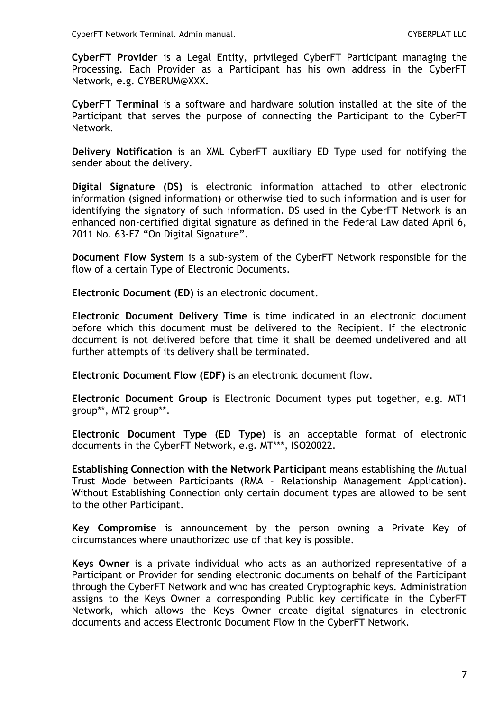**CyberFT Provider** is a Legal Entity, privileged CyberFT Participant managing the Processing. Each Provider as a Participant has his own address in the CyberFT Network, e.g. CYBERUM@XXX.

**CyberFT Terminal** is a software and hardware solution installed at the site of the Participant that serves the purpose of connecting the Participant to the CyberFT Network.

**Delivery Notification** is an XML CyberFT auxiliary ED Type used for notifying the sender about the delivery.

**Digital Signature (DS)** is electronic information attached to other electronic information (signed information) or otherwise tied to such information and is user for identifying the signatory of such information. DS used in the CyberFT Network is an enhanced non-certified digital signature as defined in the Federal Law dated April 6, 2011 No. 63-FZ "On Digital Signature".

**Document Flow System** is a sub-system of the CyberFT Network responsible for the flow of a certain Type of Electronic Documents.

**Electronic Document (ED)** is an electronic document.

**Electronic Document Delivery Time** is time indicated in an electronic document before which this document must be delivered to the Recipient. If the electronic document is not delivered before that time it shall be deemed undelivered and all further attempts of its delivery shall be terminated.

**Electronic Document Flow (EDF)** is an electronic document flow.

**Electronic Document Group** is Electronic Document types put together, e.g. MT1 group\*\*, MT2 group\*\*.

**Electronic Document Type (ED Type)** is an acceptable format of electronic documents in the CyberFT Network, e.g. MT\*\*\*, ISO20022.

**Establishing Connection with the Network Participant** means establishing the Mutual Trust Mode between Participants (RMA – Relationship Management Application). Without Establishing Connection only certain document types are allowed to be sent to the other Participant.

**Key Compromise** is announcement by the person owning a Private Key of circumstances where unauthorized use of that key is possible.

**Keys Owner** is a private individual who acts as an authorized representative of a Participant or Provider for sending electronic documents on behalf of the Participant through the CyberFT Network and who has created Cryptographic keys. Administration assigns to the Keys Owner a corresponding Public key certificate in the CyberFT Network, which allows the Keys Owner create digital signatures in electronic documents and access Electronic Document Flow in the CyberFT Network.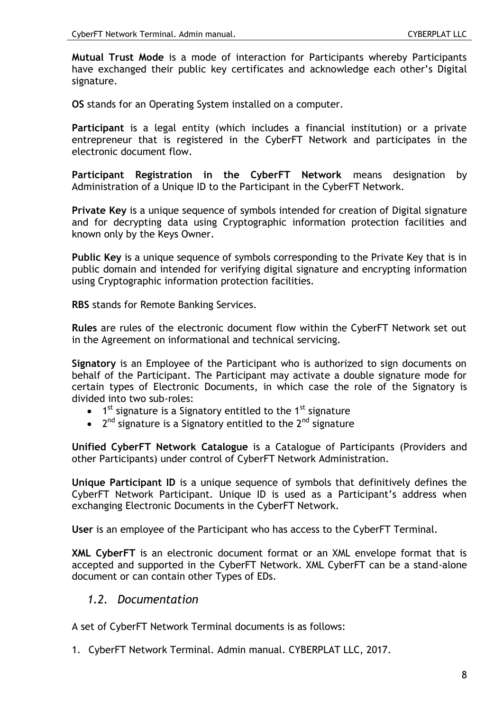**Mutual Trust Mode** is a mode of interaction for Participants whereby Participants have exchanged their public key certificates and acknowledge each other's Digital signature.

**OS** stands for an Operating System installed on a computer.

**Participant** is a legal entity (which includes a financial institution) or a private entrepreneur that is registered in the CyberFT Network and participates in the electronic document flow.

**Participant Registration in the CyberFT Network** means designation by Administration of a Unique ID to the Participant in the CyberFT Network.

**Private Key** is a unique sequence of symbols intended for creation of Digital signature and for decrypting data using Cryptographic information protection facilities and known only by the Keys Owner.

**Public Key** is a unique sequence of symbols corresponding to the Private Key that is in public domain and intended for verifying digital signature and encrypting information using Cryptographic information protection facilities.

**RBS** stands for Remote Banking Services.

**Rules** are rules of the electronic document flow within the CyberFT Network set out in the Agreement on informational and technical servicing.

**Signatory** is an Employee of the Participant who is authorized to sign documents on behalf of the Participant. The Participant may activate a double signature mode for certain types of Electronic Documents, in which case the role of the Signatory is divided into two sub-roles:

- $\bullet$  1<sup>st</sup> signature is a Signatory entitled to the 1<sup>st</sup> signature
- $\bullet$  2<sup>nd</sup> signature is a Signatory entitled to the 2<sup>nd</sup> signature

**Unified CyberFT Network Catalogue** is a Catalogue of Participants (Providers and other Participants) under control of CyberFT Network Administration.

**Unique Participant ID** is a unique sequence of symbols that definitively defines the CyberFT Network Participant. Unique ID is used as a Participant's address when exchanging Electronic Documents in the CyberFT Network.

**User** is an employee of the Participant who has access to the CyberFT Terminal.

**XML CyberFT** is an electronic document format or an XML envelope format that is accepted and supported in the CyberFT Network. XML CyberFT can be a stand-alone document or can contain other Types of EDs.

### <span id="page-7-0"></span>*1.2. Documentation*

A set of CyberFT Network Terminal documents is as follows:

1. CyberFT Network Terminal. Admin manual. CYBERPLAT LLC, 2017.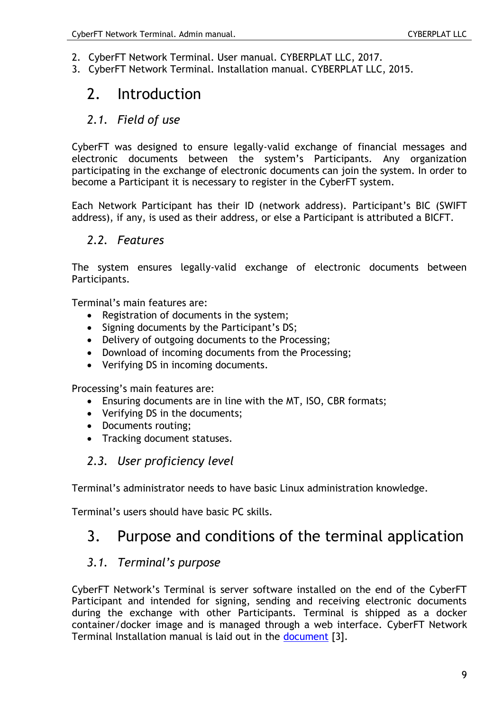- 2. CyberFT Network Terminal. User manual. CYBERPLAT LLC, 2017.
- 3. CyberFT Network Terminal. Installation manual. CYBERPLAT LLC, 2015.

# 2. Introduction

# *2.1. Field of use*

CyberFT was designed to ensure legally-valid exchange of financial messages and electronic documents between the system's Participants. Any organization participating in the exchange of electronic documents can join the system. In order to become a Participant it is necessary to register in the CyberFT system.

Each Network Participant has their ID (network address). Participant's BIC (SWIFT address), if any, is used as their address, or else a Participant is attributed a BICFT.

# *2.2. Features*

The system ensures legally-valid exchange of electronic documents between Participants.

Terminal's main features are:

- Registration of documents in the system:
- Signing documents by the Participant's DS;
- Delivery of outgoing documents to the Processing;
- Download of incoming documents from the Processing;
- Verifying DS in incoming documents.

Processing's main features are:

- Ensuring documents are in line with the MT, ISO, CBR formats;
- Verifying DS in the documents;
- Documents routing;
- Tracking document statuses.

# *2.3. User proficiency level*

Terminal's administrator needs to have basic Linux administration knowledge.

Terminal's users should have basic PC skills.

# 3. Purpose and conditions of the terminal application

# *3.1. Terminal's purpose*

CyberFT Network's Terminal is server software installed on the end of the CyberFT Participant and intended for signing, sending and receiving electronic documents during the exchange with other Participants. Terminal is shipped as a docker container/docker image and is managed through a web interface. CyberFT Network Terminal Installation manual is laid out in the [document](#page-7-0) [3].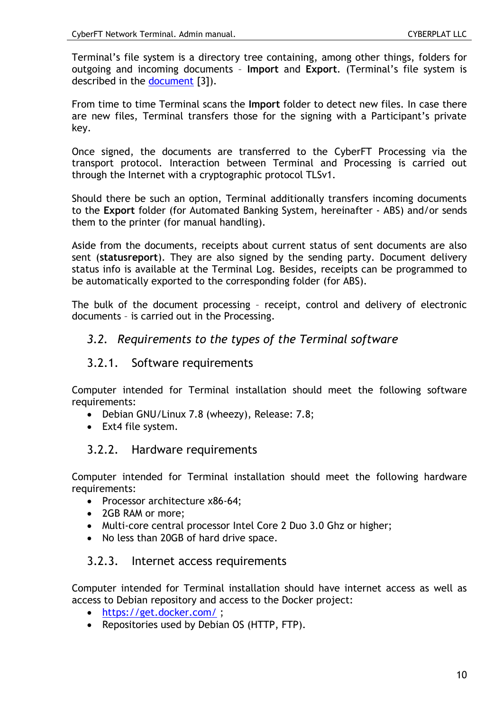Terminal's file system is a directory tree containing, among other things, folders for outgoing and incoming documents – **Import** and **Export**. (Terminal's file system is described in the [document](#page-7-0) [3]).

From time to time Terminal scans the **Import** folder to detect new files. In case there are new files, Terminal transfers those for the signing with a Participant's private key.

Once signed, the documents are transferred to the CyberFT Processing via the transport protocol. Interaction between Terminal and Processing is carried out through the Internet with a cryptographic protocol TLSv1.

Should there be such an option, Terminal additionally transfers incoming documents to the **Export** folder (for Automated Banking System, hereinafter - ABS) and/or sends them to the printer (for manual handling).

Aside from the documents, receipts about current status of sent documents are also sent (**statusreport**). They are also signed by the sending party. Document delivery status info is available at the Terminal Log. Besides, receipts can be programmed to be automatically exported to the corresponding folder (for ABS).

The bulk of the document processing – receipt, control and delivery of electronic documents – is carried out in the Processing.

# *3.2. Requirements to the types of the Terminal software*

### 3.2.1. Software requirements

Computer intended for Terminal installation should meet the following software requirements:

- Debian GNU/Linux 7.8 (wheezy), Release: 7.8;
- Ext4 file system.

### 3.2.2. Hardware requirements

Computer intended for Terminal installation should meet the following hardware requirements:

- Processor architecture x86-64;
- 2GB RAM or more:
- Multi-core central processor Intel Core 2 Duo 3.0 Ghz or higher;
- No less than 20GB of hard drive space.

### 3.2.3. Internet access requirements

Computer intended for Terminal installation should have internet access as well as access to Debian repository and access to the Docker project:

- <https://get.docker.com/> ;
- Repositories used by Debian OS (HTTP, FTP).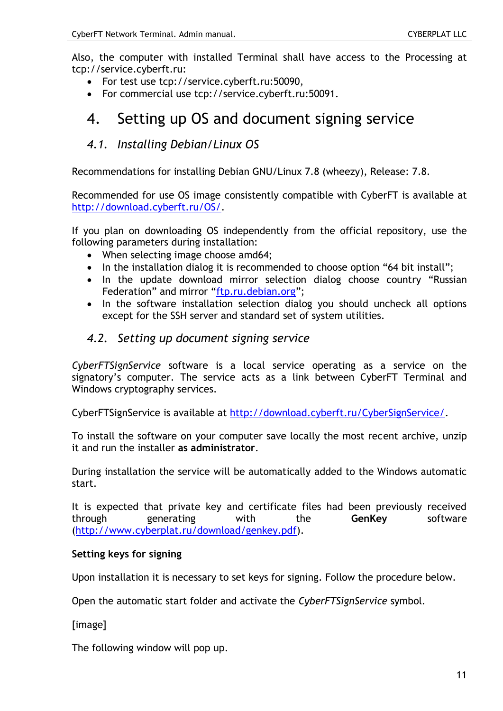Also, the computer with installed Terminal shall have access to the Processing at tcp://service.cyberft.ru:

- For test use tcp://service.cyberft.ru:50090,
- For commercial use tcp://service.cyberft.ru:50091.

# 4. Setting up OS and document signing service

# *4.1. Installing Debian/Linux OS*

Recommendations for installing Debian GNU/Linux 7.8 (wheezy), Release: 7.8.

Recommended for use OS image consistently compatible with CyberFT is available at [http://download.cyberft.ru/OS/.](http://download.cyberft.ru/OS/)

If you plan on downloading OS independently from the official repository, use the following parameters during installation:

- When selecting image choose amd64;
- In the installation dialog it is recommended to choose option "64 bit install";
- In the update download mirror selection dialog choose country "Russian Federation" and mirror "[ftp.ru.debian.org](ftp://ftp.ru.debian.org/)";
- In the software installation selection dialog you should uncheck all options except for the SSH server and standard set of system utilities.

# *4.2. Setting up document signing service*

*CyberFTSignService* software is a local service operating as a service on the signatory's computer. The service acts as a link between CyberFT Terminal and Windows cryptography services.

CyberFTSignService is available at [http://download.cyberft.ru/CyberSignService/.](http://download.cyberft.ru/CyberSignService/)

To install the software on your computer save locally the most recent archive, unzip it and run the installer **as administrator**.

During installation the service will be automatically added to the Windows automatic start.

It is expected that private key and certificate files had been previously received through generating with the **GenKey** software [\(http://www.cyberplat.ru/download/genkey.pdf\)](http://www.cyberplat.ru/download/genkey.pdf).

### **Setting keys for signing**

Upon installation it is necessary to set keys for signing. Follow the procedure below.

Open the automatic start folder and activate the *CyberFTSignService* symbol.

[image]

The following window will pop up.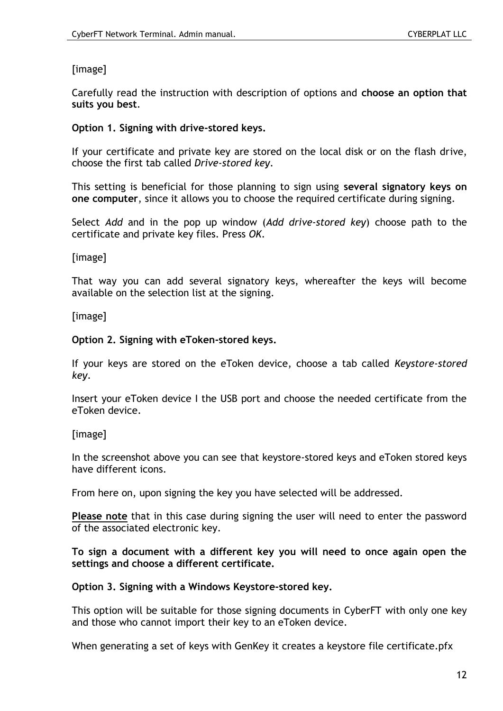# [image]

Carefully read the instruction with description of options and **choose an option that suits you best**.

#### **Option 1. Signing with drive-stored keys.**

If your certificate and private key are stored on the local disk or on the flash drive, choose the first tab called *Drive-stored key*.

This setting is beneficial for those planning to sign using **several signatory keys on one computer**, since it allows you to choose the required certificate during signing.

Select *Add* and in the pop up window (*Add drive-stored key*) choose path to the certificate and private key files. Press *OK*.

[image]

That way you can add several signatory keys, whereafter the keys will become available on the selection list at the signing.

[image]

#### **Option 2. Signing with eToken-stored keys.**

If your keys are stored on the eToken device, choose a tab called *Keystore-stored key*.

Insert your eToken device I the USB port and choose the needed certificate from the eToken device.

### [image]

In the screenshot above you can see that keystore-stored keys and eToken stored keys have different icons.

From here on, upon signing the key you have selected will be addressed.

**Please note** that in this case during signing the user will need to enter the password of the associated electronic key.

**To sign a document with a different key you will need to once again open the settings and choose a different certificate.**

#### **Option 3. Signing with a Windows Keystore-stored key.**

This option will be suitable for those signing documents in CyberFT with only one key and those who cannot import their key to an eToken device.

When generating a set of keys with GenKey it creates a keystore file certificate.pfx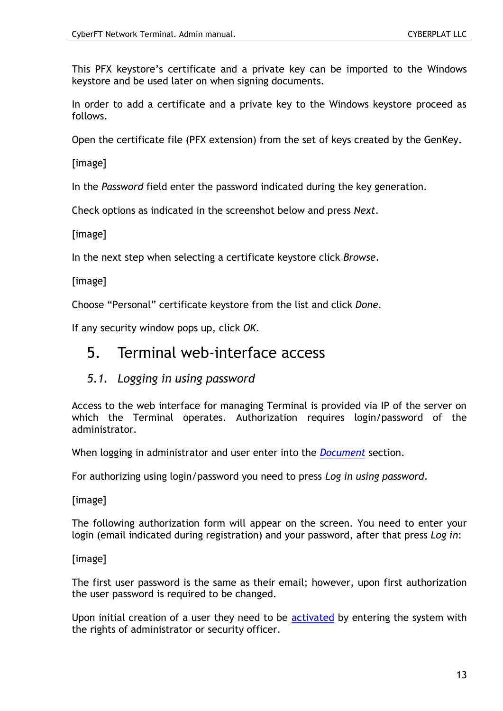This PFX keystore's certificate and a private key can be imported to the Windows keystore and be used later on when signing documents.

In order to add a certificate and a private key to the Windows keystore proceed as follows.

Open the certificate file (PFX extension) from the set of keys created by the GenKey.

[image]

In the *Password* field enter the password indicated during the key generation.

Check options as indicated in the screenshot below and press *Next*.

[image]

In the next step when selecting a certificate keystore click *Browse*.

[image]

Choose "Personal" certificate keystore from the list and click *Done*.

If any security window pops up, click *OK*.

# 5. Terminal web-interface access

# *5.1. Logging in using password*

Access to the web interface for managing Terminal is provided via IP of the server on which the Terminal operates. Authorization requires login/password of the administrator.

When logging in administrator and user enter into the *[Document](#page-18-0)* section.

For authorizing using login/password you need to press *Log in using password*.

[image]

The following authorization form will appear on the screen. You need to enter your login (email indicated during registration) and your password, after that press *Log in*:

[image]

The first user password is the same as their email; however, upon first authorization the user password is required to be changed.

Upon initial creation of a user they need to be [activated](#page-36-0) by entering the system with the rights of administrator or security officer.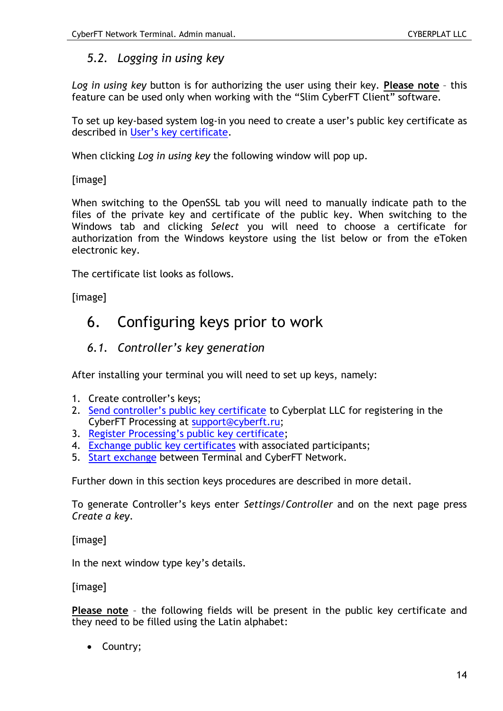# *5.2. Logging in using key*

*Log in using key* button is for authorizing the user using their key. **Please note** – this feature can be used only when working with the "Slim CyberFT Client" software.

To set up key-based system log-in you need to create a user's public key certificate as described in [User's key certificate](#page-35-0).

When clicking *Log in using key* the following window will pop up.

[image]

When switching to the OpenSSL tab you will need to manually indicate path to the files of the private key and certificate of the public key. When switching to the Windows tab and clicking *Select* you will need to choose a certificate for authorization from the Windows keystore using the list below or from the eToken electronic key.

The certificate list looks as follows.

[image]

# 6. Configuring keys prior to work

# <span id="page-13-0"></span>*6.1. Controller's key generation*

After installing your terminal you will need to set up keys, namely:

- 1. Create controller's keys;
- 2. S[end controller's public key certificate](#page-15-0) to Cyberplat LLC for registering in the CyberFT Processing at [support@cyberft.ru;](mailto:support@cyberft.ru)
- 3. R[egister Processing's public key certificate](#page-15-1);
- 4. [Exchange public key certificates](#page-15-2) with associated participants;
- 5. Start [exchange](#page-16-0) between Terminal and CyberFT Network.

Further down in this section keys procedures are described in more detail.

To generate Controller's keys enter *Settings/Controller* and on the next page press *Create a key*.

[image]

In the next window type key's details.

[image]

**Please note** – the following fields will be present in the public key certificate and they need to be filled using the Latin alphabet:

• Country;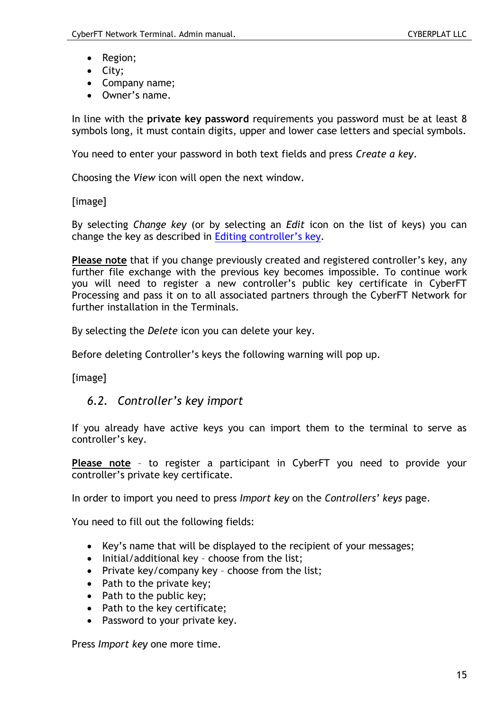- Region;
- City;
- Company name;
- Owner's name.

In line with the **private key password** requirements you password must be at least 8 symbols long, it must contain digits, upper and lower case letters and special symbols.

You need to enter your password in both text fields and press *Create a key*.

Choosing the *View* icon will open the next window.

[image]

By selecting *Change key* (or by selecting an *Edit* icon on the list of keys) you can change the key as described in [Editing contr](#page-16-1)oller's key.

**Please note** that if you change previously created and registered controller's key, any further file exchange with the previous key becomes impossible. To continue work you will need to register a new controller's public key certificate in CyberFT Processing and pass it on to all associated partners through the CyberFT Network for further installation in the Terminals.

By selecting the *Delete* icon you can delete your key.

Before deleting Controller's keys the following warning will pop up.

[image]

### *6.2. Controller's key import*

If you already have active keys you can import them to the terminal to serve as controller's key.

**Please note** – to register a participant in CyberFT you need to provide your controller's private key certificate.

In order to import you need to press *Import key* on the *Controllers' keys* page.

You need to fill out the following fields:

- Key's name that will be displayed to the recipient of your messages;
- Initial/additional key choose from the list;
- Private key/company key choose from the list:
- Path to the private key;
- Path to the public key;
- Path to the key certificate:
- Password to your private key.

Press *Import key* one more time.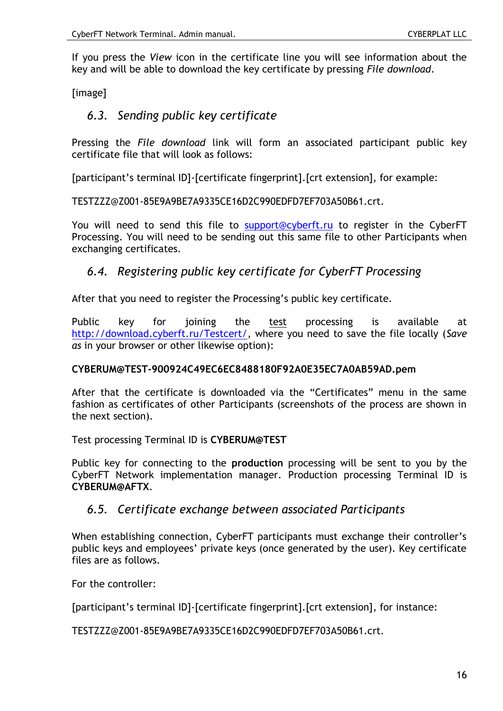If you press the *View* icon in the certificate line you will see information about the key and will be able to download the key certificate by pressing *File download*.

<span id="page-15-0"></span>[image]

# *6.3. Sending public key certificate*

Pressing the *File download* link will form an associated participant public key certificate file that will look as follows:

[participant's terminal ID]-[certificate fingerprint].[crt extension], for example:

TESTZZZ@Z001-85E9A9BE7A9335CE16D2C990EDFD7EF703A50B61.crt.

You will need to send this file to [support@cyberft.ru](mailto:support@cyberft.ru) to register in the CyberFT Processing. You will need to be sending out this same file to other Participants when exchanging certificates.

# <span id="page-15-1"></span>*6.4. Registering public key certificate for CyberFT Processing*

After that you need to register the Processing's public key certificate.

Public key for joining the test processing is available at [http://download.cyberft.ru/Testcert/,](http://download.cyberft.ru/Testcert/) where you need to save the file locally (*Save as* in your browser or other likewise option):

#### **CYBERUM@TEST-900924C49EC6EC8488180F92A0E35EC7A0AB59AD.pem**

After that the certificate is downloaded via the "Certificates" menu in the same fashion as certificates of other Participants (screenshots of the process are shown in the next section).

Test processing Terminal ID is **CYBERUM@TEST**

Public key for connecting to the **production** processing will be sent to you by the CyberFT Network implementation manager. Production processing Terminal ID is **CYBERUM@AFTX**.

### <span id="page-15-2"></span>*6.5. Certificate exchange between associated Participants*

When establishing connection, CyberFT participants must exchange their controller's public keys and employees' private keys (once generated by the user). Key certificate files are as follows.

For the controller:

[participant's terminal ID]-[certificate fingerprint].[crt extension], for instance:

TESTZZZ@Z001-85E9A9BE7A9335CE16D2C990EDFD7EF703A50B61.crt.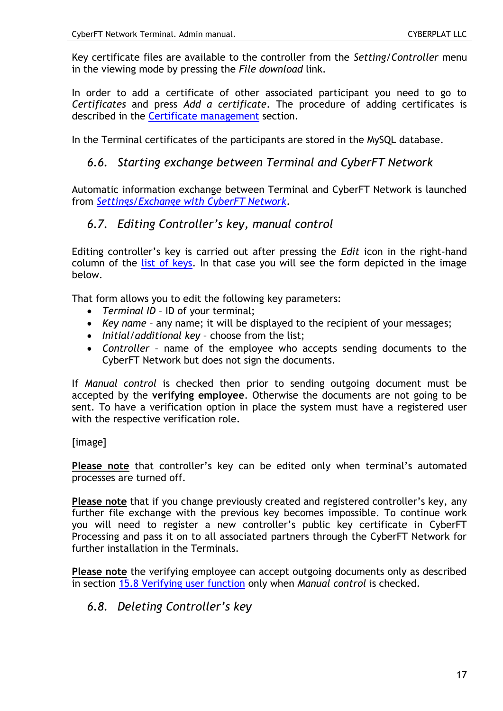Key certificate files are available to the controller from the *Setting/Controller* menu in the viewing mode by pressing the *File download* link.

In order to add a certificate of other associated participant you need to go to *Certificates* and press *Add a certificate*. The procedure of adding certificates is described in the [Certificate management](#page-17-0) section.

<span id="page-16-0"></span>In the Terminal certificates of the participants are stored in the MySQL database.

# *6.6. Starting exchange between Terminal and CyberFT Network*

Automatic information exchange between Terminal and CyberFT Network is launched from *[Settings/Exchange with CyberFT Network](#page-39-0)*.

# <span id="page-16-1"></span>*6.7. Editing Controller's key, manual control*

Editing controller's key is carried out after pressing the *Edit* icon in the right-hand column of the [list of keys.](#page-13-0) In that case you will see the form depicted in the image below.

That form allows you to edit the following key parameters:

- *Terminal ID* ID of your terminal;
- *Key name* any name; it will be displayed to the recipient of your messages;
- *Initial/additional key* choose from the list;
- *Controller* name of the employee who accepts sending documents to the CyberFT Network but does not sign the documents.

If *Manual control* is checked then prior to sending outgoing document must be accepted by the **verifying employee**. Otherwise the documents are not going to be sent. To have a verification option in place the system must have a registered user with the respective verification role.

### [image]

**Please note** that controller's key can be edited only when terminal's automated processes are turned off.

**Please note** that if you change previously created and registered controller's key, any further file exchange with the previous key becomes impossible. To continue work you will need to register a new controller's public key certificate in CyberFT Processing and pass it on to all associated partners through the CyberFT Network for further installation in the Terminals.

**Please note** the verifying employee can accept outgoing documents only as described in section [15.8 Verifying user function](#page-37-0) only when *Manual control* is checked.

# *6.8. Deleting Controller's key*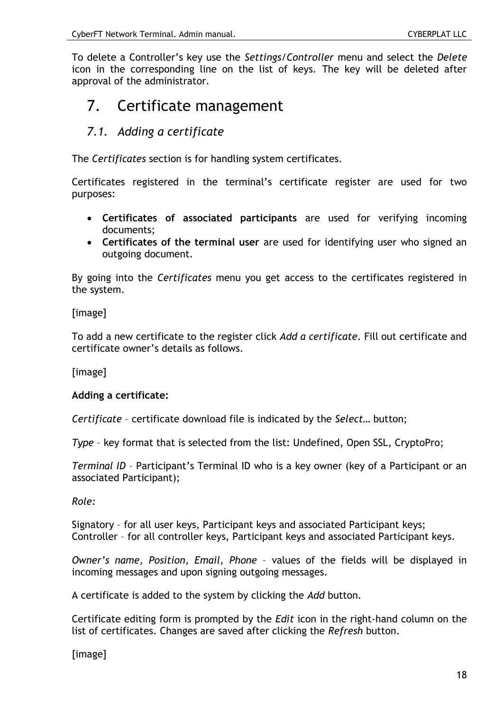To delete a Controller's key use the *Settings/Controller* menu and select the *Delete* icon in the corresponding line on the list of keys. The key will be deleted after approval of the administrator.

# <span id="page-17-0"></span>7. Certificate management

# *7.1. Adding a certificate*

The *Certificates* section is for handling system certificates.

Certificates registered in the terminal's certificate register are used for two purposes:

- **Certificates of associated participants** are used for verifying incoming documents;
- **Certificates of the terminal user** are used for identifying user who signed an outgoing document.

By going into the *Certificates* menu you get access to the certificates registered in the system.

### [image]

To add a new certificate to the register click *Add a certificate*. Fill out certificate and certificate owner's details as follows.

[image]

### **Adding a certificate:**

*Certificate* – certificate download file is indicated by the *Select…* button;

*Type* – key format that is selected from the list: Undefined, Open SSL, CryptoPro;

*Terminal ID* – Participant's Terminal ID who is a key owner (key of a Participant or an associated Participant);

#### *Role:*

Signatory – for all user keys, Participant keys and associated Participant keys; Controller – for all controller keys, Participant keys and associated Participant keys.

*Owner's name, Position, Email, Phone* – values of the fields will be displayed in incoming messages and upon signing outgoing messages.

A certificate is added to the system by clicking the *Add* button.

Certificate editing form is prompted by the *Edit* icon in the right-hand column on the list of certificates. Changes are saved after clicking the *Refresh* button.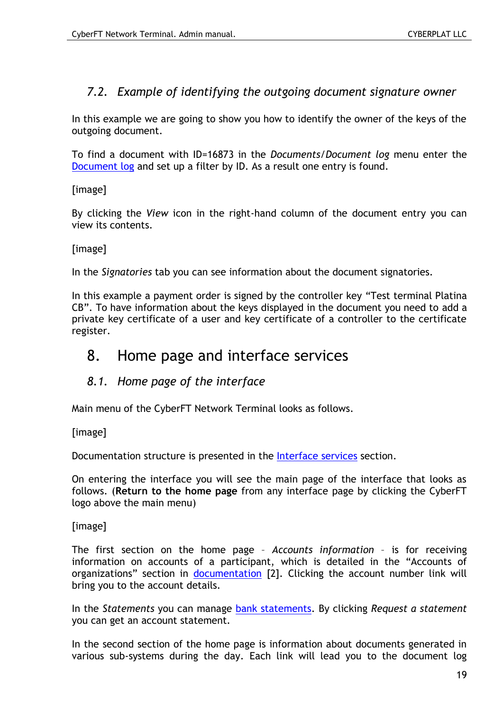# *7.2. Example of identifying the outgoing document signature owner*

In this example we are going to show you how to identify the owner of the keys of the outgoing document.

To find a document with ID=16873 in the *Documents/Document log* menu enter the [Document log](#page-18-0) and set up a filter by ID. As a result one entry is found.

[image]

By clicking the *View* icon in the right-hand column of the document entry you can view its contents.

#### [image]

In the *Signatories* tab you can see information about the document signatories.

In this example a payment order is signed by the controller key "Test terminal Platina CB". To have information about the keys displayed in the document you need to add a private key certificate of a user and key certificate of a controller to the certificate register.

# <span id="page-18-0"></span>8. Home page and interface services

# *8.1. Home page of the interface*

Main menu of the CyberFT Network Terminal looks as follows.

[image]

Documentation structure is presented in the [Interface services](#page-19-0) section.

On entering the interface you will see the main page of the interface that looks as follows. (**Return to the home page** from any interface page by clicking the CyberFT logo above the main menu)

[image]

The first section on the home page – *Accounts information* – is for receiving information on accounts of a participant, which is detailed in the "Accounts of organizations" section in [documentation](#page-7-0) [2]. Clicking the account number link will bring you to the account details.

In the *Statements* you can manage [bank statements.](#page-24-0) By clicking *Request a statement* you can get an account statement.

In the second section of the home page is information about documents generated in various sub-systems during the day. Each link will lead you to the document log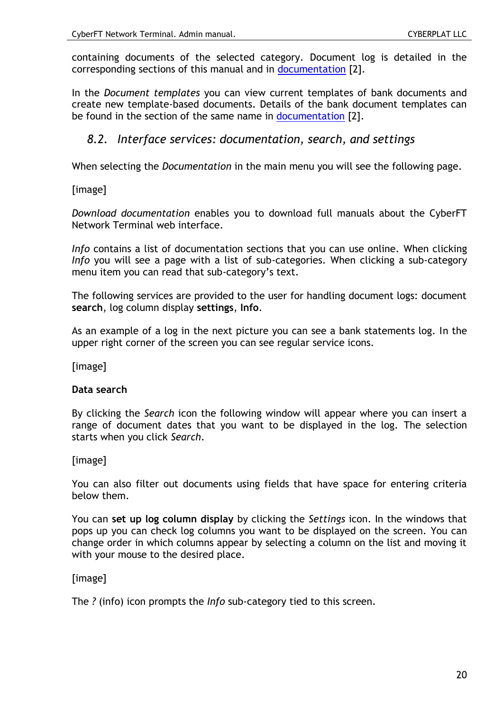containing documents of the selected category. Document log is detailed in the corresponding sections of this manual and in [documentation](#page-7-0) [2].

In the *Document templates* you can view current templates of bank documents and create new template-based documents. Details of the bank document templates can be found in the section of the same name in [documentation](#page-7-0) [2].

# <span id="page-19-0"></span>*8.2. Interface services: documentation, search, and settings*

When selecting the *Documentation* in the main menu you will see the following page.

[image]

*Download documentation* enables you to download full manuals about the CyberFT Network Terminal web interface.

*Info* contains a list of documentation sections that you can use online. When clicking *Info* you will see a page with a list of sub-categories. When clicking a sub-category menu item you can read that sub-category's text.

The following services are provided to the user for handling document logs: document **search**, log column display **settings**, **Info**.

As an example of a log in the next picture you can see a bank statements log. In the upper right corner of the screen you can see regular service icons.

[image]

#### **Data search**

By clicking the *Search* icon the following window will appear where you can insert a range of document dates that you want to be displayed in the log. The selection starts when you click *Search*.

[image]

You can also filter out documents using fields that have space for entering criteria below them.

You can **set up log column display** by clicking the *Settings* icon. In the windows that pops up you can check log columns you want to be displayed on the screen. You can change order in which columns appear by selecting a column on the list and moving it with your mouse to the desired place.

#### [image]

The *?* (info) icon prompts the *Info* sub-category tied to this screen.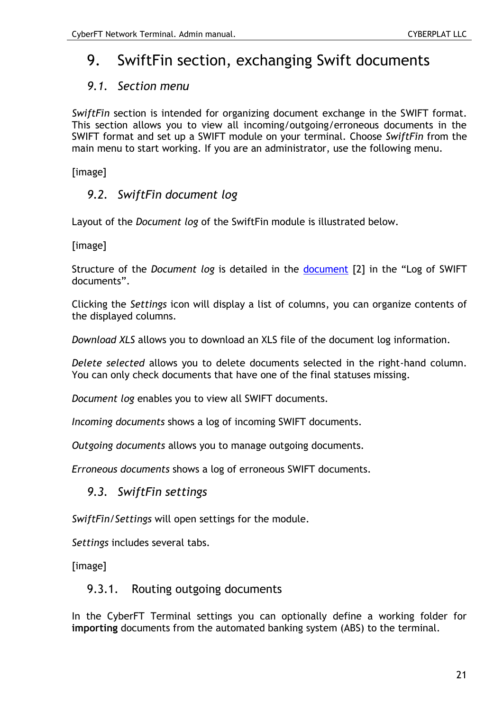# 9. SwiftFin section, exchanging Swift documents

# *9.1. Section menu*

*SwiftFin* section is intended for organizing document exchange in the SWIFT format. This section allows you to view all incoming/outgoing/erroneous documents in the SWIFT format and set up a SWIFT module on your terminal. Choose *SwiftFin* from the main menu to start working. If you are an administrator, use the following menu.

[image]

# *9.2. SwiftFin document log*

Layout of the *Document log* of the SwiftFin module is illustrated below.

[image]

Structure of the *Document log* is detailed in the [document](#page-7-0) [2] in the "Log of SWIFT documents".

Clicking the *Settings* icon will display a list of columns, you can organize contents of the displayed columns.

*Download XLS* allows you to download an XLS file of the document log information.

*Delete selected* allows you to delete documents selected in the right-hand column. You can only check documents that have one of the final statuses missing.

*Document log* enables you to view all SWIFT documents.

*Incoming documents* shows a log of incoming SWIFT documents.

*Outgoing documents* allows you to manage outgoing documents.

*Erroneous documents* shows a log of erroneous SWIFT documents.

# *9.3. SwiftFin settings*

*SwiftFin/Settings* will open settings for the module.

*Settings* includes several tabs.

<span id="page-20-0"></span>[image]

# 9.3.1. Routing outgoing documents

In the CyberFT Terminal settings you can optionally define a working folder for **importing** documents from the automated banking system (ABS) to the terminal.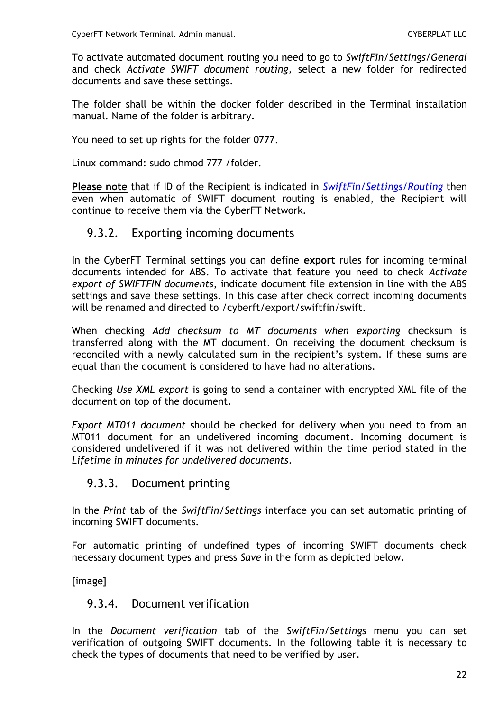To activate automated document routing you need to go to *SwiftFin/Settings/General* and check *Activate SWIFT document routing*, select a new folder for redirected documents and save these settings.

The folder shall be within the docker folder described in the Terminal installation manual. Name of the folder is arbitrary.

You need to set up rights for the folder 0777.

Linux command: sudo chmod 777 /folder.

**Please note** that if ID of the Recipient is indicated in *[SwiftFin/Settings/Routing](#page-22-0)* then even when automatic of SWIFT document routing is enabled, the Recipient will continue to receive them via the CyberFT Network.

#### 9.3.2. Exporting incoming documents

In the CyberFT Terminal settings you can define **export** rules for incoming terminal documents intended for ABS. To activate that feature you need to check *Activate export of SWIFTFIN documents*, indicate document file extension in line with the ABS settings and save these settings. In this case after check correct incoming documents will be renamed and directed to /cyberft/export/swiftfin/swift.

When checking *Add checksum to MT documents when exporting* checksum is transferred along with the MT document. On receiving the document checksum is reconciled with a newly calculated sum in the recipient's system. If these sums are equal than the document is considered to have had no alterations.

Checking *Use XML export* is going to send a container with encrypted XML file of the document on top of the document.

*Export MT011 document* should be checked for delivery when you need to from an MT011 document for an undelivered incoming document. Incoming document is considered undelivered if it was not delivered within the time period stated in the *Lifetime in minutes for undelivered documents*.

### 9.3.3. Document printing

In the *Print* tab of the *SwiftFin/Settings* interface you can set automatic printing of incoming SWIFT documents.

For automatic printing of undefined types of incoming SWIFT documents check necessary document types and press *Save* in the form as depicted below.

[image]

### 9.3.4. Document verification

In the *Document verification* tab of the *SwiftFin/Settings* menu you can set verification of outgoing SWIFT documents. In the following table it is necessary to check the types of documents that need to be verified by user.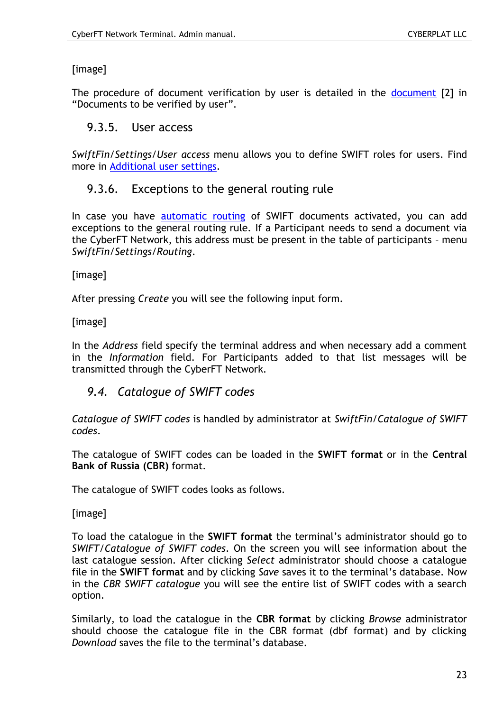# [image]

The procedure of document verification by user is detailed in the [document](#page-7-0) [2] in "Documents to be verified by user".

# 9.3.5. User access

*SwiftFin/Settings/User access* menu allows you to define SWIFT roles for users. Find more in [Additional user settings.](#page-34-0)

# <span id="page-22-0"></span>9.3.6. Exceptions to the general routing rule

In case you have **[automatic routing](#page-20-0) of SWIFT** documents activated, you can add exceptions to the general routing rule. If a Participant needs to send a document via the CyberFT Network, this address must be present in the table of participants – menu *SwiftFin/Settings/Routing*.

[image]

After pressing *Create* you will see the following input form.

[image]

In the *Address* field specify the terminal address and when necessary add a comment in the *Information* field. For Participants added to that list messages will be transmitted through the CyberFT Network.

# *9.4. Catalogue of SWIFT codes*

*Catalogue of SWIFT codes* is handled by administrator at *SwiftFin/Catalogue of SWIFT codes*.

The catalogue of SWIFT codes can be loaded in the **SWIFT format** or in the **Central Bank of Russia (CBR)** format.

The catalogue of SWIFT codes looks as follows.

[image]

To load the catalogue in the **SWIFT format** the terminal's administrator should go to *SWIFT/Catalogue of SWIFT codes*. On the screen you will see information about the last catalogue session. After clicking *Select* administrator should choose a catalogue file in the **SWIFT format** and by clicking *Save* saves it to the terminal's database. Now in the *CBR SWIFT catalogue* you will see the entire list of SWIFT codes with a search option.

Similarly, to load the catalogue in the **CBR format** by clicking *Browse* administrator should choose the catalogue file in the CBR format (dbf format) and by clicking *Download* saves the file to the terminal's database.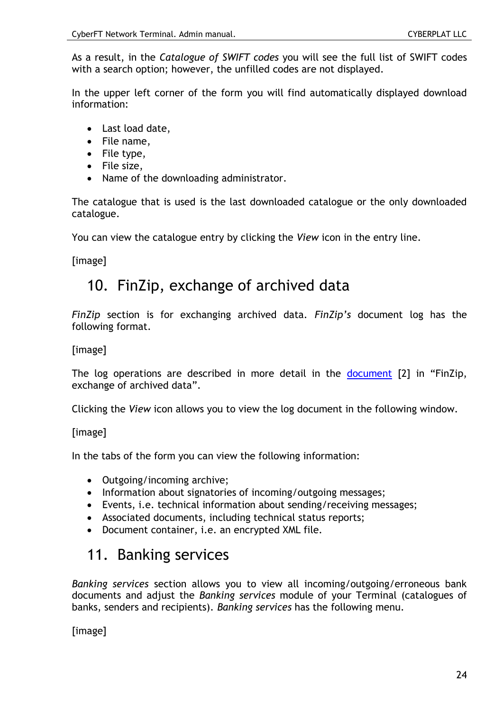As a result, in the *Catalogue of SWIFT codes* you will see the full list of SWIFT codes with a search option; however, the unfilled codes are not displayed.

In the upper left corner of the form you will find automatically displayed download information:

- Last load date,
- File name,
- $\bullet$  File type,
- File size,
- Name of the downloading administrator.

The catalogue that is used is the last downloaded catalogue or the only downloaded catalogue.

You can view the catalogue entry by clicking the *View* icon in the entry line.

[image]

# 10. FinZip, exchange of archived data

*FinZip* section is for exchanging archived data. *FinZip's* document log has the following format.

[image]

The log operations are described in more detail in the [document](#page-7-0) [2] in "FinZip, exchange of archived data".

Clicking the *View* icon allows you to view the log document in the following window.

[image]

In the tabs of the form you can view the following information:

- Outgoing/incoming archive;
- Information about signatories of incoming/outgoing messages;
- Events, i.e. technical information about sending/receiving messages;
- Associated documents, including technical status reports;
- Document container, i.e. an encrypted XML file.

# 11. Banking services

*Banking services* section allows you to view all incoming/outgoing/erroneous bank documents and adjust the *Banking services* module of your Terminal (catalogues of banks, senders and recipients). *Banking services* has the following menu.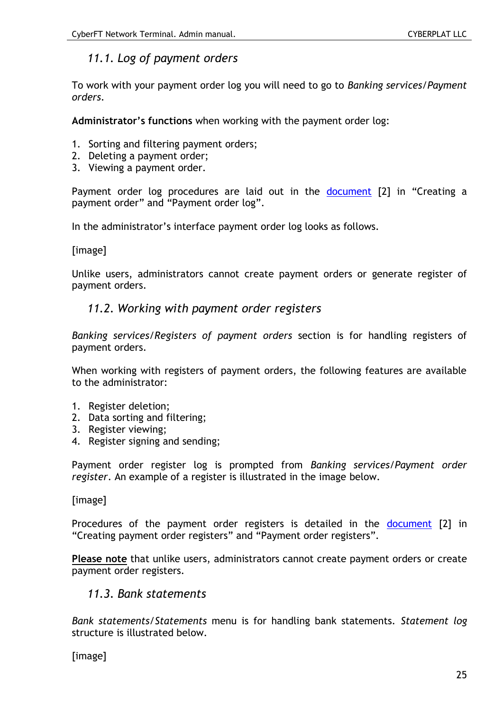# *11.1. Log of payment orders*

To work with your payment order log you will need to go to *Banking services/Payment orders*.

**Administrator's functions** when working with the payment order log:

- 1. Sorting and filtering payment orders;
- 2. Deleting a payment order;
- 3. Viewing a payment order.

Payment order log procedures are laid out in the [document](#page-7-0) [2] in "Creating a payment order" and "Payment order log".

In the administrator's interface payment order log looks as follows.

[image]

Unlike users, administrators cannot create payment orders or generate register of payment orders.

### *11.2. Working with payment order registers*

*Banking services/Registers of payment orders* section is for handling registers of payment orders.

When working with registers of payment orders, the following features are available to the administrator:

- 1. Register deletion;
- 2. Data sorting and filtering;
- 3. Register viewing;
- 4. Register signing and sending;

Payment order register log is prompted from *Banking services/Payment order register*. An example of a register is illustrated in the image below.

[image]

Procedures of the payment order registers is detailed in the [document](#page-7-0) [2] in "Creating payment order registers" and "Payment order registers".

**Please note** that unlike users, administrators cannot create payment orders or create payment order registers.

### <span id="page-24-0"></span>*11.3. Bank statements*

*Bank statements/Statements* menu is for handling bank statements. *Statement log* structure is illustrated below.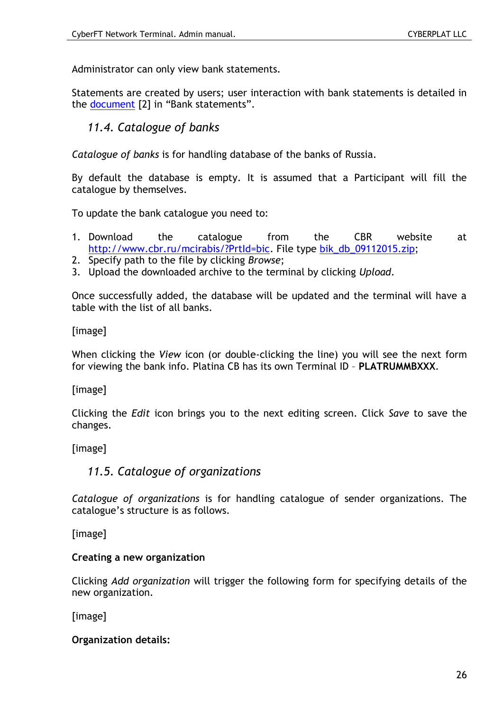Administrator can only view bank statements.

Statements are created by users; user interaction with bank statements is detailed in the **document** [2] in "Bank statements".

# <span id="page-25-0"></span>*11.4. Catalogue of banks*

*Catalogue of banks* is for handling database of the banks of Russia.

By default the database is empty. It is assumed that a Participant will fill the catalogue by themselves.

To update the bank catalogue you need to:

- 1. Download the catalogue from the CBR website at [http://www.cbr.ru/mcirabis/?PrtId=bic.](http://www.cbr.ru/mcirabis/?PrtId=bic) File type [bik\\_db\\_09112015.zip;](http://www.cbr.ru/mcirabis/BIK/bik_db_09112015.zip)
- 2. Specify path to the file by clicking *Browse*;
- 3. Upload the downloaded archive to the terminal by clicking *Upload*.

Once successfully added, the database will be updated and the terminal will have a table with the list of all banks.

[image]

When clicking the *View* icon (or double-clicking the line) you will see the next form for viewing the bank info. Platina CB has its own Terminal ID – **PLATRUMMBXXX**.

[image]

Clicking the *Edit* icon brings you to the next editing screen. Click *Save* to save the changes.

[image]

### *11.5. Catalogue of organizations*

*Catalogue of organizations* is for handling catalogue of sender organizations. The catalogue's structure is as follows.

[image]

#### **Creating a new organization**

Clicking *Add organization* will trigger the following form for specifying details of the new organization.

[image]

**Organization details:**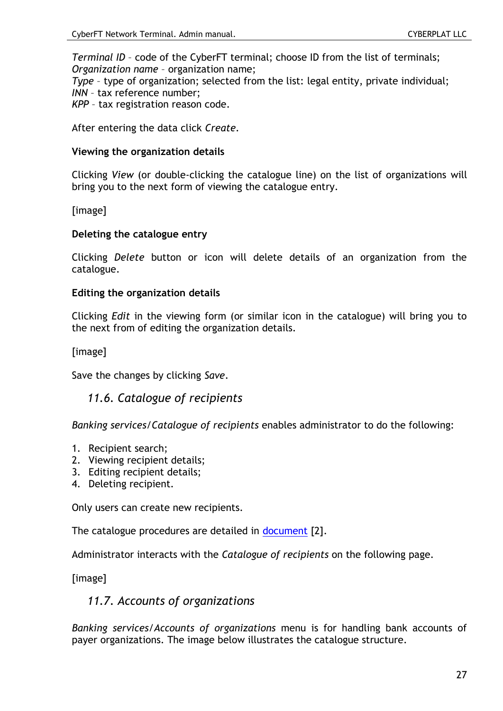*Terminal ID* – code of the CyberFT terminal; choose ID from the list of terminals; *Organization name* – organization name;

*Type* – type of organization; selected from the list: legal entity, private individual;

*INN* – tax reference number;

*KPP* – tax registration reason code.

After entering the data click *Create*.

#### **Viewing the organization details**

Clicking *View* (or double-clicking the catalogue line) on the list of organizations will bring you to the next form of viewing the catalogue entry.

[image]

#### **Deleting the catalogue entry**

Clicking *Delete* button or icon will delete details of an organization from the catalogue.

#### **Editing the organization details**

Clicking *Edit* in the viewing form (or similar icon in the catalogue) will bring you to the next from of editing the organization details.

[image]

Save the changes by clicking *Save*.

### *11.6. Catalogue of recipients*

*Banking services/Catalogue of recipients* enables administrator to do the following:

- 1. Recipient search;
- 2. Viewing recipient details;
- 3. Editing recipient details;
- 4. Deleting recipient.

Only users can create new recipients.

The catalogue procedures are detailed in [document](#page-7-0) [2].

Administrator interacts with the *Catalogue of recipients* on the following page.

[image]

### *11.7. Accounts of organizations*

*Banking services/Accounts of organizations* menu is for handling bank accounts of payer organizations. The image below illustrates the catalogue structure.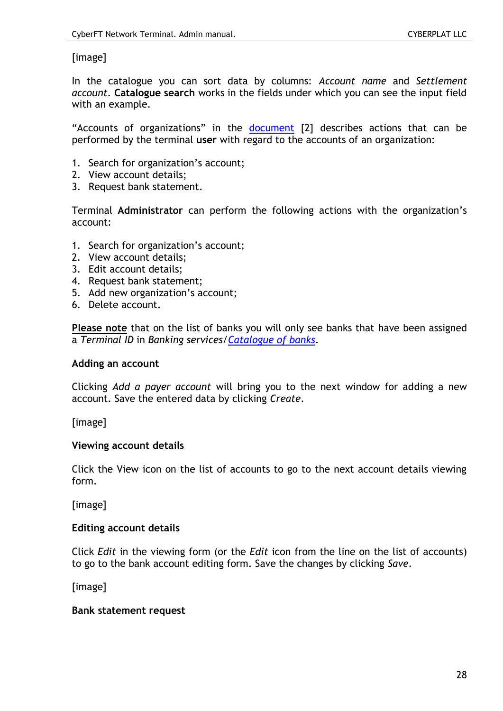#### [image]

In the catalogue you can sort data by columns: *Account name* and *Settlement account*. **Catalogue search** works in the fields under which you can see the input field with an example.

"Accounts of organizations" in the [document](#page-7-0) [2] describes actions that can be performed by the terminal **user** with regard to the accounts of an organization:

- 1. Search for organization's account;
- 2. View account details;
- 3. Request bank statement.

Terminal **Administrator** can perform the following actions with the organization's account:

- 1. Search for organization's account;
- 2. View account details;
- 3. Edit account details;
- 4. Request bank statement;
- 5. Add new organization's account;
- 6. Delete account.

**Please note** that on the list of banks you will only see banks that have been assigned a *Terminal ID* in *Banking services[/Catalogue of banks](#page-25-0)*.

#### **Adding an account**

Clicking *Add a payer account* will bring you to the next window for adding a new account. Save the entered data by clicking *Create*.

[image]

#### **Viewing account details**

Click the View icon on the list of accounts to go to the next account details viewing form.

[image]

#### **Editing account details**

Click *Edit* in the viewing form (or the *Edit* icon from the line on the list of accounts) to go to the bank account editing form. Save the changes by clicking *Save*.

[image]

#### **Bank statement request**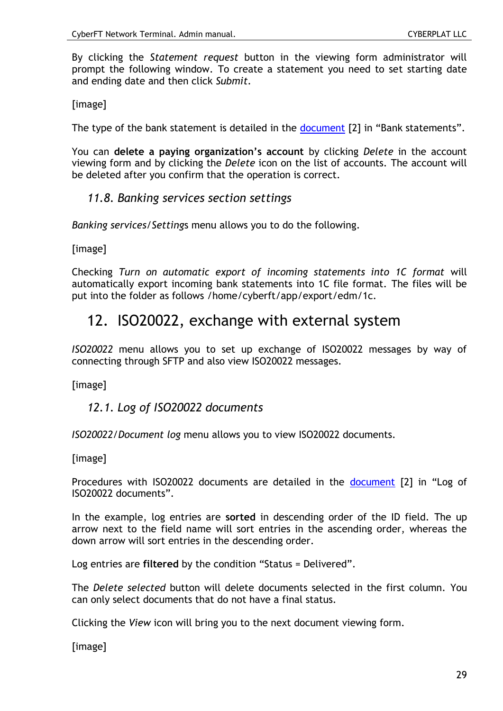By clicking the *Statement request* button in the viewing form administrator will prompt the following window. To create a statement you need to set starting date and ending date and then click *Submit*.

[image]

The type of the bank statement is detailed in the [document](#page-7-0) [2] in "Bank statements".

You can **delete a paying organization's account** by clicking *Delete* in the account viewing form and by clicking the *Delete* icon on the list of accounts. The account will be deleted after you confirm that the operation is correct.

### *11.8. Banking services section settings*

*Banking services/Setting*s menu allows you to do the following.

[image]

Checking *Turn on automatic export of incoming statements into 1C format* will automatically export incoming bank statements into 1C file format. The files will be put into the folder as follows /home/cyberft/app/export/edm/1c.

# 12. ISO20022, exchange with external system

*ISO20022* menu allows you to set up exchange of ISO20022 messages by way of connecting through SFTP and also view ISO20022 messages.

[image]

# *12.1. Log of ISO20022 documents*

*ISO20022/Document log* menu allows you to view ISO20022 documents.

[image]

Procedures with ISO20022 documents are detailed in the [document](#page-7-0) [2] in "Log of ISO20022 documents".

In the example, log entries are **sorted** in descending order of the ID field. The up arrow next to the field name will sort entries in the ascending order, whereas the down arrow will sort entries in the descending order.

Log entries are **filtered** by the condition "Status = Delivered".

The *Delete selected* button will delete documents selected in the first column. You can only select documents that do not have a final status.

Clicking the *View* icon will bring you to the next document viewing form.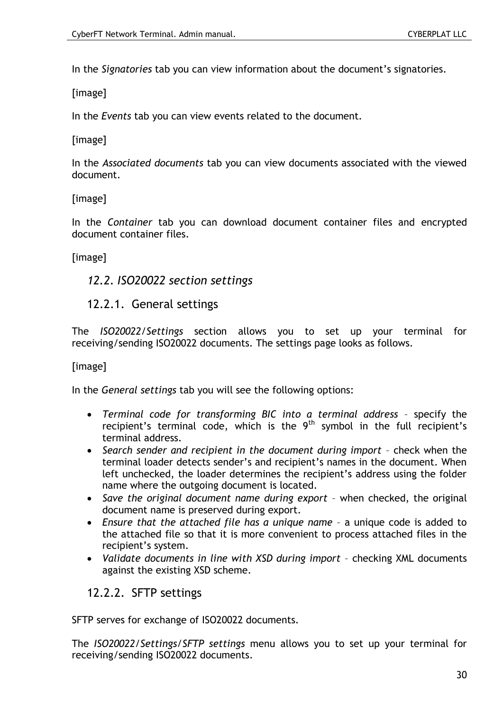In the *Signatories* tab you can view information about the document's signatories.

[image]

In the *Events* tab you can view events related to the document.

[image]

In the *Associated documents* tab you can view documents associated with the viewed document.

[image]

In the *Container* tab you can download document container files and encrypted document container files.

[image]

# *12.2. ISO20022 section settings*

### 12.2.1. General settings

The *ISO20022/Settings* section allows you to set up your terminal for receiving/sending ISO20022 documents. The settings page looks as follows.

[image]

In the *General settings* tab you will see the following options:

- *Terminal code for transforming BIC into a terminal address* specify the recipient's terminal code, which is the  $9<sup>th</sup>$  symbol in the full recipient's terminal address.
- *Search sender and recipient in the document during import* check when the terminal loader detects sender's and recipient's names in the document. When left unchecked, the loader determines the recipient's address using the folder name where the outgoing document is located.
- *Save the original document name during export* when checked, the original document name is preserved during export.
- *Ensure that the attached file has a unique name* a unique code is added to the attached file so that it is more convenient to process attached files in the recipient's system.
- *Validate documents in line with XSD during import* checking XML documents against the existing XSD scheme.

### 12.2.2. SFTP settings

SFTP serves for exchange of ISO20022 documents.

The *ISO20022/Settings/SFTP settings* menu allows you to set up your terminal for receiving/sending ISO20022 documents.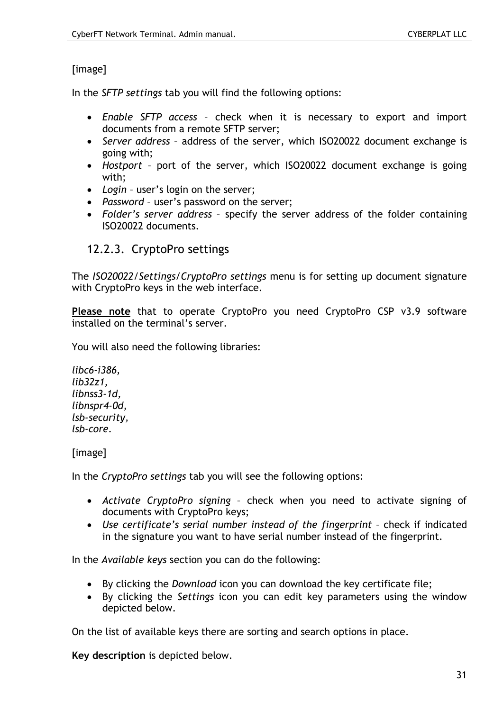# [image]

In the *SFTP settings* tab you will find the following options:

- *Enable SFTP access* check when it is necessary to export and import documents from a remote SFTP server;
- *Server address* address of the server, which ISO20022 document exchange is going with;
- *Hostport* port of the server, which ISO20022 document exchange is going with;
- *Login* user's login on the server;
- *Password* user's password on the server;
- *Folder's server address* specify the server address of the folder containing ISO20022 documents.

# <span id="page-30-0"></span>12.2.3. CryptoPro settings

The *ISO20022/Settings/CryptoPro settings* menu is for setting up document signature with CryptoPro keys in the web interface.

**Please note** that to operate CryptoPro you need CryptoPro CSP v3.9 software installed on the terminal's server.

You will also need the following libraries:

*libc6-i386, lib32z1, libnss3-1d, libnspr4-0d, lsb-security, lsb-core.*

[image]

In the *CryptoPro settings* tab you will see the following options:

- *Activate CryptoPro signing* check when you need to activate signing of documents with CryptoPro keys;
- *Use certificate's serial number instead of the fingerprint* check if indicated in the signature you want to have serial number instead of the fingerprint.

In the *Available keys* section you can do the following:

- By clicking the *Download* icon you can download the key certificate file;
- By clicking the *Settings* icon you can edit key parameters using the window depicted below.

On the list of available keys there are sorting and search options in place.

**Key description** is depicted below.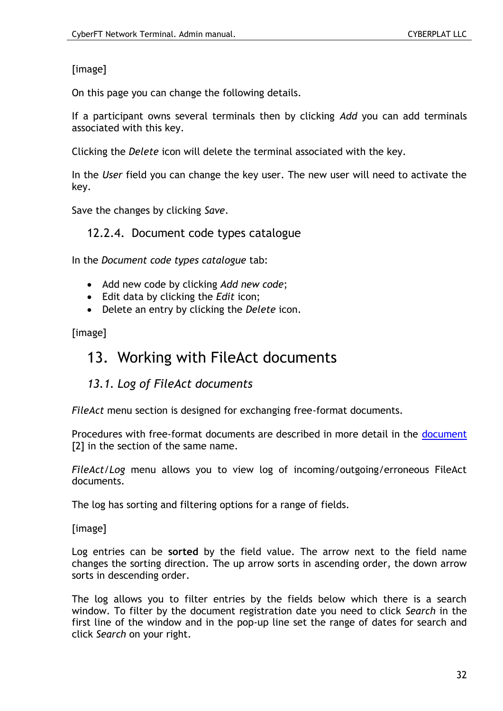# [image]

On this page you can change the following details.

If a participant owns several terminals then by clicking *Add* you can add terminals associated with this key.

Clicking the *Delete* icon will delete the terminal associated with the key.

In the *User* field you can change the key user. The new user will need to activate the key.

Save the changes by clicking *Save*.

# 12.2.4. Document code types catalogue

In the *Document code types catalogue* tab:

- Add new code by clicking *Add new code*;
- Edit data by clicking the *Edit* icon;
- Delete an entry by clicking the *Delete* icon.

[image]

# 13. Working with FileAct documents

# *13.1. Log of FileAct documents*

*FileAct* menu section is designed for exchanging free-format documents.

Procedures with free-format [document](#page-7-0)s are described in more detail in the document [2] in the section of the same name.

*FileAct/Log* menu allows you to view log of incoming/outgoing/erroneous FileAct documents.

The log has sorting and filtering options for a range of fields.

[image]

Log entries can be **sorted** by the field value. The arrow next to the field name changes the sorting direction. The up arrow sorts in ascending order, the down arrow sorts in descending order.

The log allows you to filter entries by the fields below which there is a search window. To filter by the document registration date you need to click *Search* in the first line of the window and in the pop-up line set the range of dates for search and click *Search* on your right.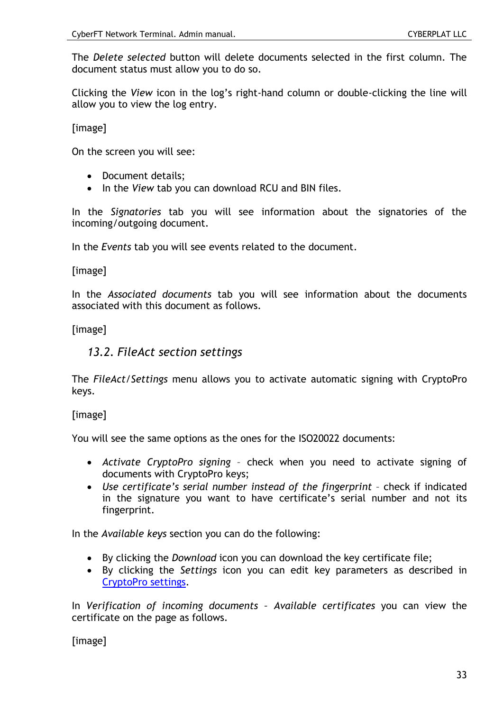The *Delete selected* button will delete documents selected in the first column. The document status must allow you to do so.

Clicking the *View* icon in the log's right-hand column or double-clicking the line will allow you to view the log entry.

[image]

On the screen you will see:

- Document details;
- In the *View* tab you can download RCU and BIN files.

In the *Signatories* tab you will see information about the signatories of the incoming/outgoing document.

In the *Events* tab you will see events related to the document.

[image]

In the *Associated documents* tab you will see information about the documents associated with this document as follows.

[image]

### *13.2. FileAct section settings*

The *FileAct/Settings* menu allows you to activate automatic signing with CryptoPro keys.

[image]

You will see the same options as the ones for the ISO20022 documents:

- *Activate CryptoPro signing* check when you need to activate signing of documents with CryptoPro keys;
- *Use certificate's serial number instead of the fingerprint* check if indicated in the signature you want to have certificate's serial number and not its fingerprint.

In the *Available keys* section you can do the following:

- By clicking the *Download* icon you can download the key certificate file;
- By clicking the *Settings* icon you can edit key parameters as described in [CryptoPro settings.](#page-30-0)

In *Verification of incoming documents – Available certificates* you can view the certificate on the page as follows.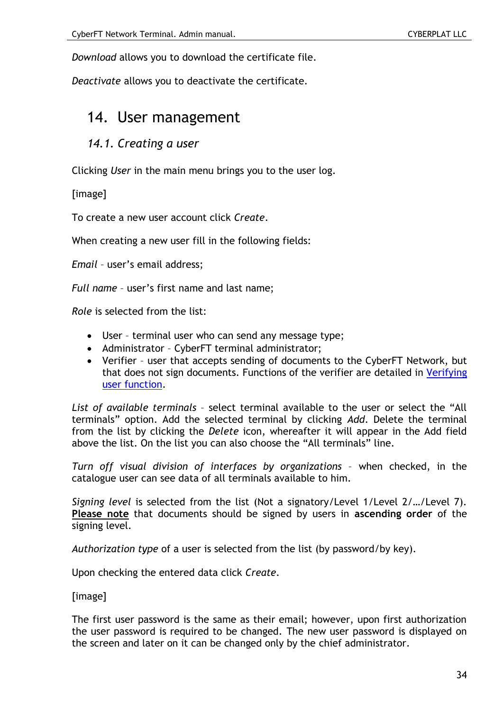*Download* allows you to download the certificate file.

*Deactivate* allows you to deactivate the certificate.

# 14. User management

#### <span id="page-33-0"></span>*14.1. Creating a user*

Clicking *User* in the main menu brings you to the user log.

[image]

To create a new user account click *Create*.

When creating a new user fill in the following fields:

*Email* – user's email address;

*Full name* – user's first name and last name;

*Role* is selected from the list:

- User terminal user who can send any message type;
- Administrator CyberFT terminal administrator;
- Verifier user that accepts sending of documents to the CyberFT Network, but that does not sign documents. Functions of the verifier are detailed in [Verifying](#page-37-0)  [user function.](#page-37-0)

*List of available terminals* – select terminal available to the user or select the "All terminals" option. Add the selected terminal by clicking *Add*. Delete the terminal from the list by clicking the *Delete* icon, whereafter it will appear in the Add field above the list. On the list you can also choose the "All terminals" line.

*Turn off visual division of interfaces by organizations* – when checked, in the catalogue user can see data of all terminals available to him.

*Signing level* is selected from the list (Not a signatory/Level 1/Level 2/…/Level 7). **Please note** that documents should be signed by users in **ascending order** of the signing level.

*Authorization type* of a user is selected from the list (by password/by key).

Upon checking the entered data click *Create*.

[image]

The first user password is the same as their email; however, upon first authorization the user password is required to be changed. The new user password is displayed on the screen and later on it can be changed only by the chief administrator.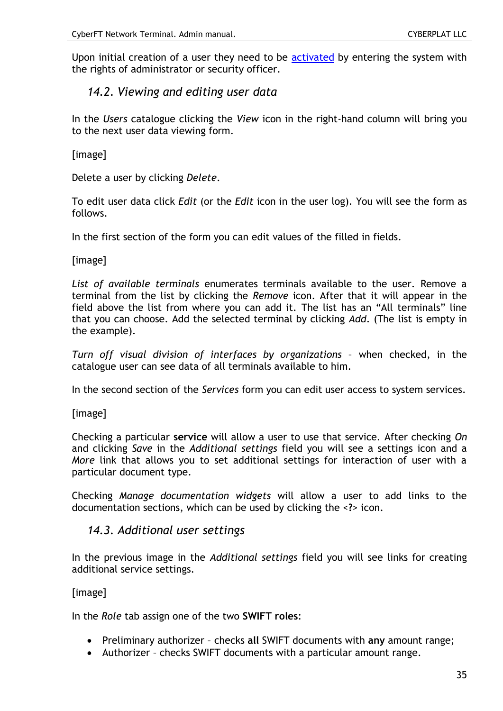Upon initial creation of a user they need to be [activated](#page-36-0) by entering the system with the rights of administrator or security officer.

# <span id="page-34-1"></span>*14.2. Viewing and editing user data*

In the *Users* catalogue clicking the *View* icon in the right-hand column will bring you to the next user data viewing form.

[image]

Delete a user by clicking *Delete*.

To edit user data click *Edit* (or the *Edit* icon in the user log). You will see the form as follows.

In the first section of the form you can edit values of the filled in fields.

[image]

*List of available terminals* enumerates terminals available to the user. Remove a terminal from the list by clicking the *Remove* icon. After that it will appear in the field above the list from where you can add it. The list has an "All terminals" line that you can choose. Add the selected terminal by clicking *Add*. (The list is empty in the example).

*Turn off visual division of interfaces by organizations* – when checked, in the catalogue user can see data of all terminals available to him.

In the second section of the *Services* form you can edit user access to system services.

[image]

Checking a particular **service** will allow a user to use that service. After checking *On* and clicking *Save* in the *Additional settings* field you will see a settings icon and a *More* link that allows you to set additional settings for interaction of user with a particular document type.

Checking *Manage documentation widgets* will allow a user to add links to the documentation sections, which can be used by clicking the <**?**> icon.

### <span id="page-34-0"></span>*14.3. Additional user settings*

In the previous image in the *Additional settings* field you will see links for creating additional service settings.

[image]

In the *Role* tab assign one of the two **SWIFT roles**:

- Preliminary authorizer checks **all** SWIFT documents with **any** amount range;
- Authorizer checks SWIFT documents with a particular amount range.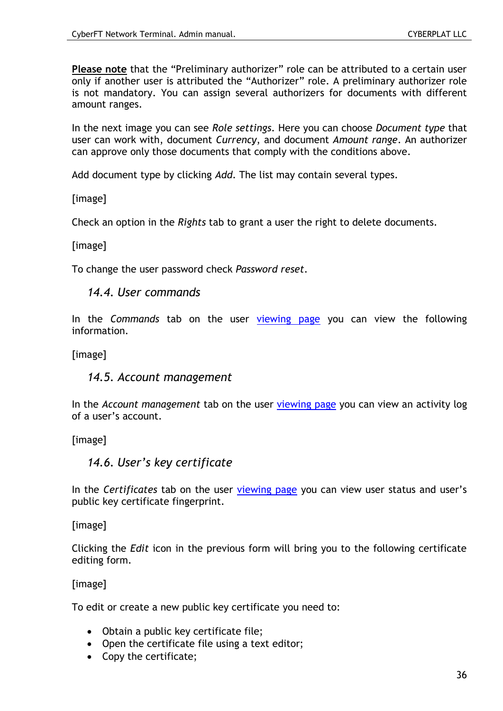**Please note** that the "Preliminary authorizer" role can be attributed to a certain user only if another user is attributed the "Authorizer" role. A preliminary authorizer role is not mandatory. You can assign several authorizers for documents with different amount ranges.

In the next image you can see *Role settings*. Here you can choose *Document type* that user can work with, document *Currency*, and document *Amount range*. An authorizer can approve only those documents that comply with the conditions above.

Add document type by clicking *Add*. The list may contain several types.

[image]

Check an option in the *Rights* tab to grant a user the right to delete documents.

[image]

To change the user password check *Password reset*.

*14.4. User commands*

In the *Commands* tab on the user [viewing page](#page-34-1) you can view the following information.

[image]

*14.5. Account management*

In the *Account management* tab on the user [viewing page](#page-34-1) you can view an activity log of a user's account.

<span id="page-35-0"></span>[image]

*14.6. User's key certificate*

In the *Certificates* tab on the user [viewing page](#page-34-1) you can view user status and user's public key certificate fingerprint.

[image]

Clicking the *Edit* icon in the previous form will bring you to the following certificate editing form.

[image]

To edit or create a new public key certificate you need to:

- Obtain a public key certificate file;
- Open the certificate file using a text editor;
- Copy the certificate;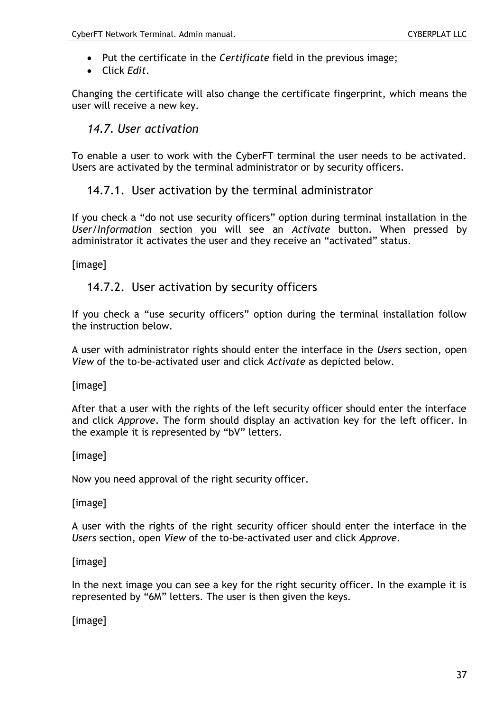- Put the certificate in the *Certificate* field in the previous image;
- Click *Edit*.

Changing the certificate will also change the certificate fingerprint, which means the user will receive a new key.

# <span id="page-36-0"></span>*14.7. User activation*

To enable a user to work with the CyberFT terminal the user needs to be activated. Users are activated by the terminal administrator or by security officers.

# 14.7.1. User activation by the terminal administrator

If you check a "do not use security officers" option during terminal installation in the *User/Information* section you will see an *Activate* button. When pressed by administrator it activates the user and they receive an "activated" status.

[image]

# 14.7.2. User activation by security officers

If you check a "use security officers" option during the terminal installation follow the instruction below.

A user with administrator rights should enter the interface in the *Users* section, open *View* of the to-be-activated user and click *Activate* as depicted below.

[image]

After that a user with the rights of the left security officer should enter the interface and click *Approve*. The form should display an activation key for the left officer. In the example it is represented by "bV" letters.

### [image]

Now you need approval of the right security officer.

[image]

A user with the rights of the right security officer should enter the interface in the *Users* section, open *View* of the to-be-activated user and click *Approve*.

### [image]

In the next image you can see a key for the right security officer. In the example it is represented by "6M" letters. The user is then given the keys.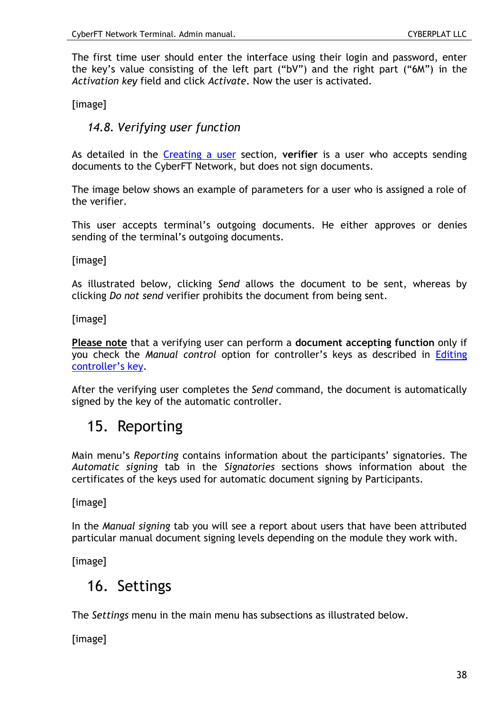The first time user should enter the interface using their login and password, enter the key's value consisting of the left part ("bV") and the right part ("6M") in the *Activation key* field and click *Activate*. Now the user is activated.

<span id="page-37-0"></span>[image]

# *14.8. Verifying user function*

As detailed in the [Creating a user](#page-33-0) section, **verifier** is a user who accepts sending documents to the CyberFT Network, but does not sign documents.

The image below shows an example of parameters for a user who is assigned a role of the verifier.

This user accepts terminal's outgoing documents. He either approves or denies sending of the terminal's outgoing documents.

[image]

As illustrated below, clicking *Send* allows the document to be sent, whereas by clicking *Do not send* verifier prohibits the document from being sent.

[image]

**Please note** that a verifying user can perform a **document accepting function** only if you check the *Manual control* option for controller's keys as described in [Editing](#page-16-1)  [controller's key](#page-16-1).

After the verifying user completes the *Send* command, the document is automatically signed by the key of the automatic controller.

# 15. Reporting

Main menu's *Reporting* contains information about the participants' signatories. The *Automatic signing* tab in the *Signatories* sections shows information about the certificates of the keys used for automatic document signing by Participants.

[image]

In the *Manual signing* tab you will see a report about users that have been attributed particular manual document signing levels depending on the module they work with.

[image]

# 16. Settings

The *Settings* menu in the main menu has subsections as illustrated below.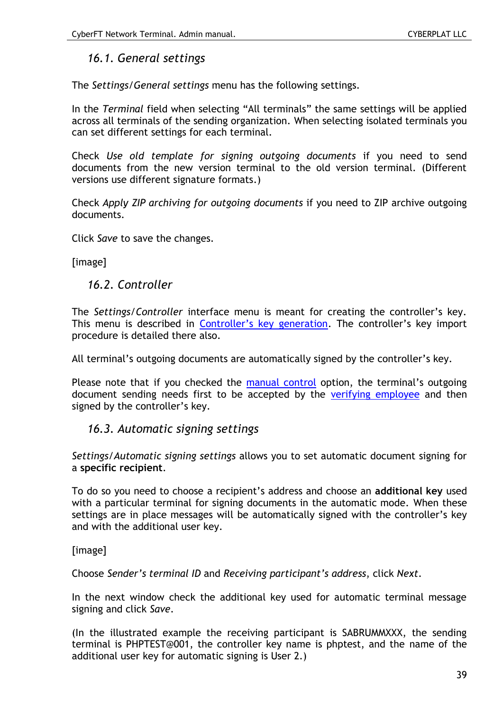# *16.1. General settings*

The *Settings/General settings* menu has the following settings.

In the *Terminal* field when selecting "All terminals" the same settings will be applied across all terminals of the sending organization. When selecting isolated terminals you can set different settings for each terminal.

Check *Use old template for signing outgoing documents* if you need to send documents from the new version terminal to the old version terminal. (Different versions use different signature formats.)

Check *Apply ZIP archiving for outgoing documents* if you need to ZIP archive outgoing documents.

Click *Save* to save the changes.

[image]

### *16.2. Controller*

The *Settings/Controller* interface menu is meant for creating the controller's key. This menu is described in [Controller's key generation](#page-13-0). The controller's key import procedure is detailed there also.

All terminal's outgoing documents are automatically signed by the controller's key.

Please note that if you checked the [manual control](#page-16-1) option, the terminal's outgoing document sending needs first to be accepted by the [verifying employee](#page-37-0) and then signed by the controller's key.

### <span id="page-38-0"></span>*16.3. Automatic signing settings*

*Settings/Automatic signing settings* allows you to set automatic document signing for a **specific recipient**.

To do so you need to choose a recipient's address and choose an **additional key** used with a particular terminal for signing documents in the automatic mode. When these settings are in place messages will be automatically signed with the controller's key and with the additional user key.

### [image]

Choose *Sender's terminal ID* and *Receiving participant's address*, click *Next*.

In the next window check the additional key used for automatic terminal message signing and click *Save*.

(In the illustrated example the receiving participant is SABRUMMXXX, the sending terminal is PHPTEST@001, the controller key name is phptest, and the name of the additional user key for automatic signing is User 2.)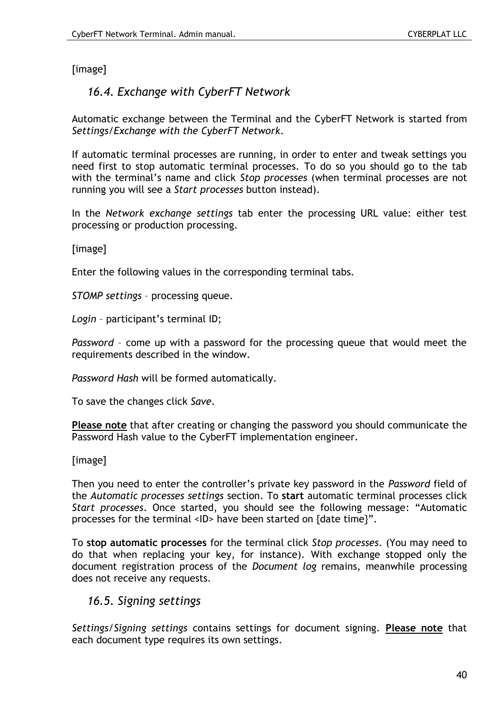#### <span id="page-39-0"></span>[image]

# *16.4. Exchange with CyberFT Network*

Automatic exchange between the Terminal and the CyberFT Network is started from *Settings/Exchange with the CyberFT Network*.

If automatic terminal processes are running, in order to enter and tweak settings you need first to stop automatic terminal processes. To do so you should go to the tab with the terminal's name and click *Stop processes* (when terminal processes are not running you will see a *Start processes* button instead).

In the *Network exchange settings* tab enter the processing URL value: either test processing or production processing.

[image]

Enter the following values in the corresponding terminal tabs.

*STOMP settings* – processing queue.

*Login* – participant's terminal ID;

*Password* – come up with a password for the processing queue that would meet the requirements described in the window.

*Password Hash* will be formed automatically.

To save the changes click *Save*.

**Please note** that after creating or changing the password you should communicate the Password Hash value to the CyberFT implementation engineer.

#### [image]

Then you need to enter the controller's private key password in the *Password* field of the *Automatic processes settings* section. To **start** automatic terminal processes click *Start processes*. Once started, you should see the following message: "Automatic processes for the terminal <ID> have been started on {date time}".

To **stop automatic processes** for the terminal click *Stop processes*. (You may need to do that when replacing your key, for instance). With exchange stopped only the document registration process of the *Document log* remains, meanwhile processing does not receive any requests.

### *16.5. Signing settings*

*Settings/Signing settings* contains settings for document signing. **Please note** that each document type requires its own settings.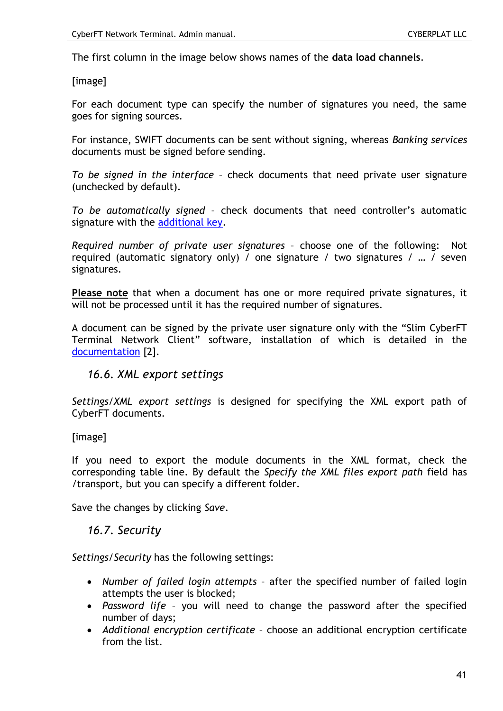The first column in the image below shows names of the **data load channels**.

[image]

For each document type can specify the number of signatures you need, the same goes for signing sources.

For instance, SWIFT documents can be sent without signing, whereas *Banking services* documents must be signed before sending.

*To be signed in the interface* – check documents that need private user signature (unchecked by default).

*To be automatically signed* – check documents that need controller's automatic signature with the [additional key.](#page-38-0)

*Required number of private user signatures* – choose one of the following: Not required (automatic signatory only) / one signature / two signatures / … / seven signatures.

**Please note** that when a document has one or more required private signatures, it will not be processed until it has the required number of signatures.

A document can be signed by the private user signature only with the "Slim CyberFT Terminal Network Client" software, installation of which is detailed in the [documentation](#page-7-0) [2].

#### *16.6. XML export settings*

*Settings/XML export settings* is designed for specifying the XML export path of CyberFT documents.

[image]

If you need to export the module documents in the XML format, check the corresponding table line. By default the *Specify the XML files export path* field has /transport, but you can specify a different folder.

Save the changes by clicking *Save*.

*16.7. Security*

*Settings/Security* has the following settings:

- *Number of failed login attempts* after the specified number of failed login attempts the user is blocked;
- *Password life* you will need to change the password after the specified number of days;
- *Additional encryption certificate* choose an additional encryption certificate from the list.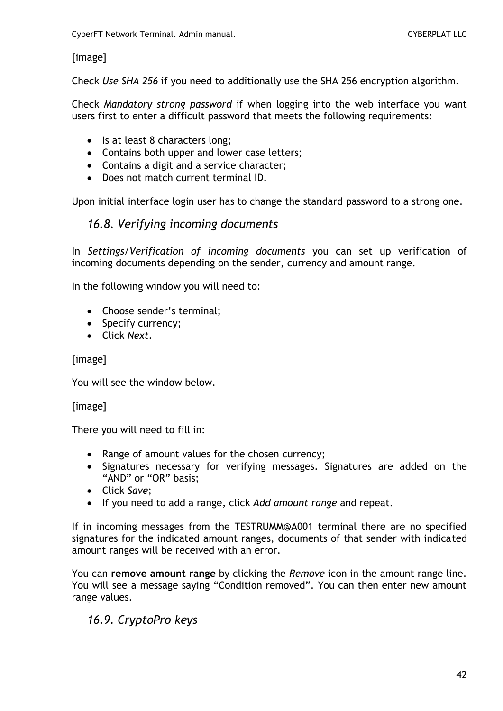# [image]

Check *Use SHA 256* if you need to additionally use the SHA 256 encryption algorithm.

Check *Mandatory strong password* if when logging into the web interface you want users first to enter a difficult password that meets the following requirements:

- Is at least 8 characters long;
- Contains both upper and lower case letters;
- Contains a digit and a service character;
- Does not match current terminal ID.

Upon initial interface login user has to change the standard password to a strong one.

# *16.8. Verifying incoming documents*

In *Settings/Verification of incoming documents* you can set up verification of incoming documents depending on the sender, currency and amount range.

In the following window you will need to:

- Choose sender's terminal:
- Specify currency;
- Click *Next*.

#### [image]

You will see the window below.

[image]

There you will need to fill in:

- Range of amount values for the chosen currency;
- Signatures necessary for verifying messages. Signatures are added on the "AND" or "OR" basis;
- Click *Save*;
- If you need to add a range, click *Add amount range* and repeat.

If in incoming messages from the TESTRUMM@A001 terminal there are no specified signatures for the indicated amount ranges, documents of that sender with indicated amount ranges will be received with an error.

You can **remove amount range** by clicking the *Remove* icon in the amount range line. You will see a message saying "Condition removed". You can then enter new amount range values.

# *16.9. CryptoPro keys*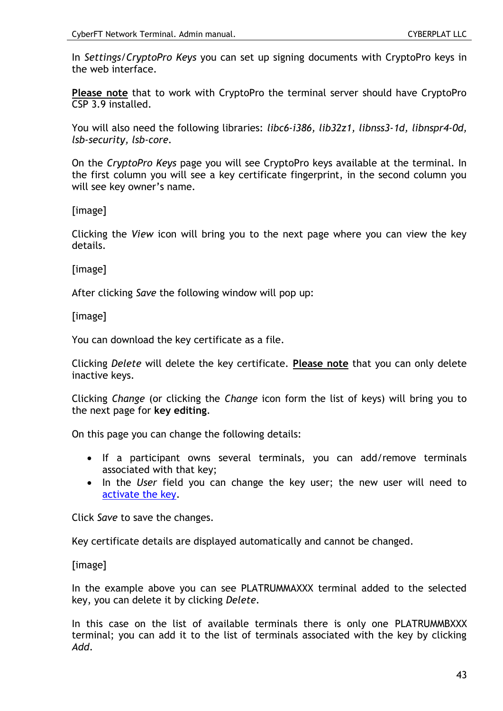In *Settings/CryptoPro Keys* you can set up signing documents with CryptoPro keys in the web interface.

**Please note** that to work with CryptoPro the terminal server should have CryptoPro CSP 3.9 installed.

You will also need the following libraries: *libc6-i386, lib32z1, libnss3-1d, libnspr4-0d, lsb-security, lsb-core.*

On the *CryptoPro Keys* page you will see CryptoPro keys available at the terminal. In the first column you will see a key certificate fingerprint, in the second column you will see key owner's name.

[image]

Clicking the *View* icon will bring you to the next page where you can view the key details.

[image]

After clicking *Save* the following window will pop up:

[image]

You can download the key certificate as a file.

Clicking *Delete* will delete the key certificate. **Please note** that you can only delete inactive keys.

Clicking *Change* (or clicking the *Change* icon form the list of keys) will bring you to the next page for **key editing**.

On this page you can change the following details:

- If a participant owns several terminals, you can add/remove terminals associated with that key;
- In the *User* field you can change the key user; the new user will need to [activate the key.](#page-30-0)

Click *Save* to save the changes.

Key certificate details are displayed automatically and cannot be changed.

[image]

In the example above you can see PLATRUMMAXXX terminal added to the selected key, you can delete it by clicking *Delete*.

In this case on the list of available terminals there is only one PLATRUMMBXXX terminal; you can add it to the list of terminals associated with the key by clicking *Add*.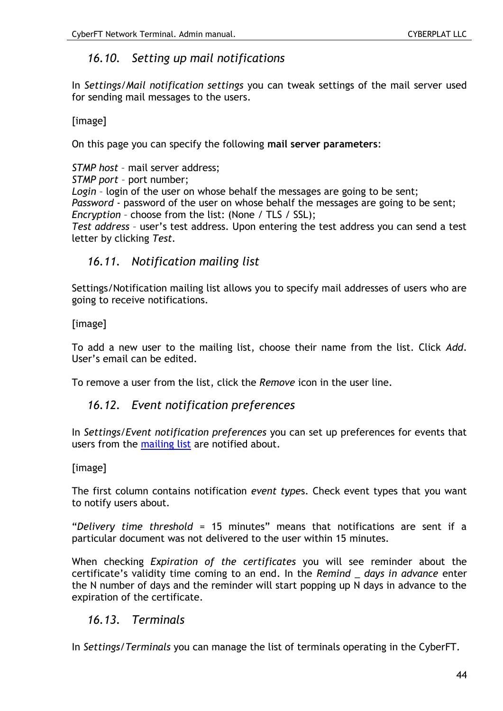# *16.10. Setting up mail notifications*

In *Settings/Mail notification settings* you can tweak settings of the mail server used for sending mail messages to the users.

[image]

On this page you can specify the following **mail server parameters**:

*STMP host* – mail server address; *STMP port* – port number; *Login* – login of the user on whose behalf the messages are going to be sent; *Password* - password of the user on whose behalf the messages are going to be sent; *Encryption* – choose from the list: (None / TLS / SSL); *Test address* – user's test address. Upon entering the test address you can send a test letter by clicking *Test*.

# <span id="page-43-0"></span>*16.11. Notification mailing list*

Settings/Notification mailing list allows you to specify mail addresses of users who are going to receive notifications.

[image]

To add a new user to the mailing list, choose their name from the list. Click *Add*. User's email can be edited.

To remove a user from the list, click the *Remove* icon in the user line.

# *16.12. Event notification preferences*

In *Settings/Event notification preferences* you can set up preferences for events that users from the [mailing list](#page-43-0) are notified about.

### [image]

The first column contains notification *event type*s. Check event types that you want to notify users about.

"*Delivery time threshold* = 15 minutes" means that notifications are sent if a particular document was not delivered to the user within 15 minutes.

When checking *Expiration of the certificates* you will see reminder about the certificate's validity time coming to an end. In the *Remind \_ days in advance* enter the N number of days and the reminder will start popping up N days in advance to the expiration of the certificate.

# *16.13. Terminals*

In *Settings/Terminals* you can manage the list of terminals operating in the CyberFT.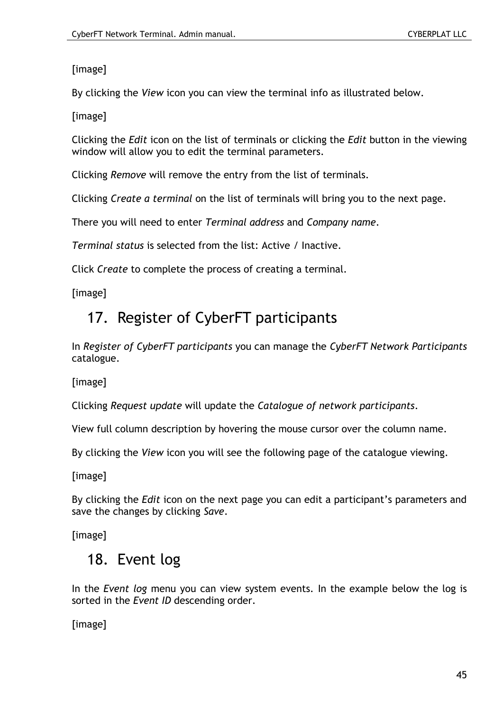[image]

By clicking the *View* icon you can view the terminal info as illustrated below.

[image]

Clicking the *Edit* icon on the list of terminals or clicking the *Edit* button in the viewing window will allow you to edit the terminal parameters.

Clicking *Remove* will remove the entry from the list of terminals.

Clicking *Create a terminal* on the list of terminals will bring you to the next page.

There you will need to enter *Terminal address* and *Company name*.

*Terminal status* is selected from the list: Active / Inactive.

Click *Create* to complete the process of creating a terminal.

[image]

# 17. Register of CyberFT participants

In *Register of CyberFT participants* you can manage the *CyberFT Network Participants* catalogue.

[image]

Clicking *Request update* will update the *Catalogue of network participants*.

View full column description by hovering the mouse cursor over the column name.

By clicking the *View* icon you will see the following page of the catalogue viewing.

[image]

By clicking the *Edit* icon on the next page you can edit a participant's parameters and save the changes by clicking *Save*.

[image]

# 18. Event log

In the *Event log* menu you can view system events. In the example below the log is sorted in the *Event ID* descending order.